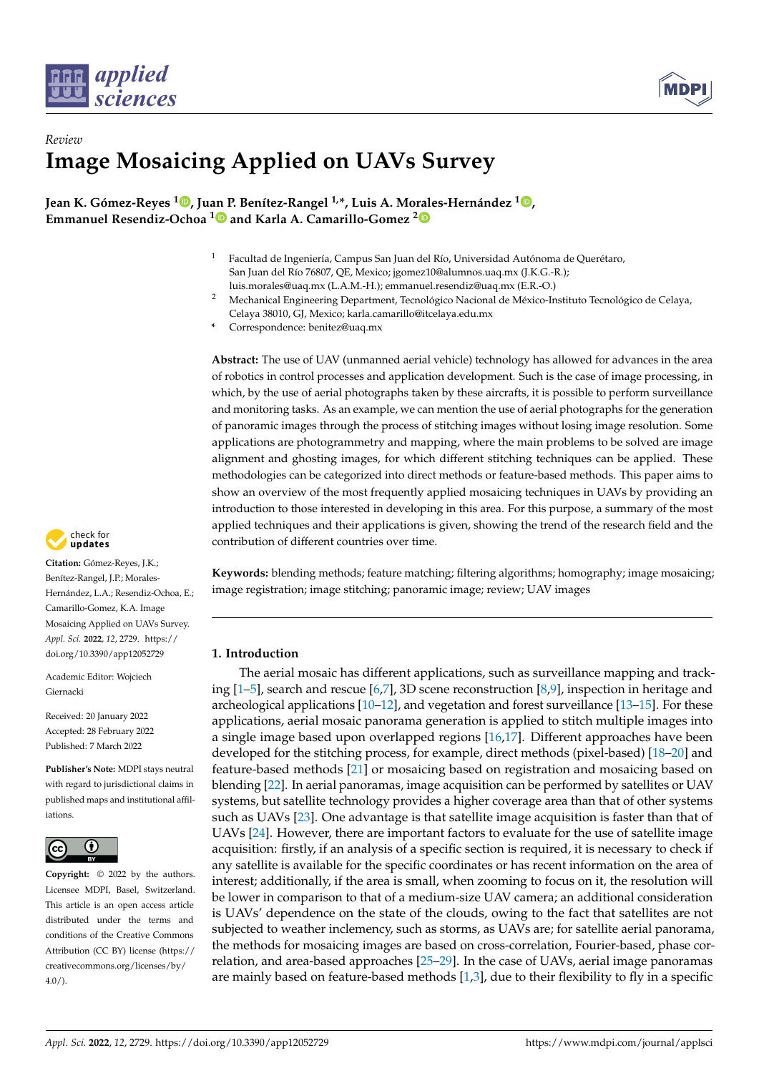



# *Review* **Image Mosaicing Applied on UAVs Survey**

**Jean K. Gómez-Reyes <sup>1</sup> [,](https://orcid.org/0000-0003-1570-9808) Ju[an P](https://orcid.org/0000-0001-8781-0564). Benítez-Rangel 1,\*, Luis A. Morales-Hernández [1](https://orcid.org/0000-0002-6483-0543) , Emmanuel Resendiz-Ochoa <sup>1</sup> and Karla A. Camarillo-Gomez [2](https://orcid.org/0000-0001-6968-9772)**

- <sup>1</sup> Facultad de Ingeniería, Campus San Juan del Río, Universidad Autónoma de Querétaro, San Juan del Río 76807, QE, Mexico; jgomez10@alumnos.uaq.mx (J.K.G.-R.); luis.morales@uaq.mx (L.A.M.-H.); emmanuel.resendiz@uaq.mx (E.R.-O.)
- <sup>2</sup> Mechanical Engineering Department, Tecnológico Nacional de México-Instituto Tecnológico de Celaya, Celaya 38010, GJ, Mexico; karla.camarillo@itcelaya.edu.mx
- **\*** Correspondence: benitez@uaq.mx

**Abstract:** The use of UAV (unmanned aerial vehicle) technology has allowed for advances in the area of robotics in control processes and application development. Such is the case of image processing, in which, by the use of aerial photographs taken by these aircrafts, it is possible to perform surveillance and monitoring tasks. As an example, we can mention the use of aerial photographs for the generation of panoramic images through the process of stitching images without losing image resolution. Some applications are photogrammetry and mapping, where the main problems to be solved are image alignment and ghosting images, for which different stitching techniques can be applied. These methodologies can be categorized into direct methods or feature-based methods. This paper aims to show an overview of the most frequently applied mosaicing techniques in UAVs by providing an introduction to those interested in developing in this area. For this purpose, a summary of the most applied techniques and their applications is given, showing the trend of the research field and the contribution of different countries over time.

**Keywords:** blending methods; feature matching; filtering algorithms; homography; image mosaicing; image registration; image stitching; panoramic image; review; UAV images

# **1. Introduction**

The aerial mosaic has different applications, such as surveillance mapping and tracking [\[1](#page-15-0)[–5\]](#page-16-0), search and rescue [\[6](#page-16-1)[,7\]](#page-16-2), 3D scene reconstruction [\[8](#page-16-3)[,9\]](#page-16-4), inspection in heritage and archeological applications [\[10–](#page-16-5)[12\]](#page-16-6), and vegetation and forest surveillance [\[13](#page-16-7)[–15\]](#page-16-8). For these applications, aerial mosaic panorama generation is applied to stitch multiple images into a single image based upon overlapped regions [\[16,](#page-16-9)[17\]](#page-16-10). Different approaches have been developed for the stitching process, for example, direct methods (pixel-based) [\[18–](#page-16-11)[20\]](#page-16-12) and feature-based methods [\[21\]](#page-16-13) or mosaicing based on registration and mosaicing based on blending [\[22\]](#page-16-14). In aerial panoramas, image acquisition can be performed by satellites or UAV systems, but satellite technology provides a higher coverage area than that of other systems such as UAVs [\[23\]](#page-16-15). One advantage is that satellite image acquisition is faster than that of UAVs [\[24\]](#page-16-16). However, there are important factors to evaluate for the use of satellite image acquisition: firstly, if an analysis of a specific section is required, it is necessary to check if any satellite is available for the specific coordinates or has recent information on the area of interest; additionally, if the area is small, when zooming to focus on it, the resolution will be lower in comparison to that of a medium-size UAV camera; an additional consideration is UAVs' dependence on the state of the clouds, owing to the fact that satellites are not subjected to weather inclemency, such as storms, as UAVs are; for satellite aerial panorama, the methods for mosaicing images are based on cross-correlation, Fourier-based, phase correlation, and area-based approaches [\[25–](#page-16-17)[29\]](#page-16-18). In the case of UAVs, aerial image panoramas are mainly based on feature-based methods [\[1](#page-15-0)[,3\]](#page-15-1), due to their flexibility to fly in a specific



**Citation:** Gómez-Reyes, J.K.; Benítez-Rangel, J.P.; Morales-Hernández, L.A.; Resendiz-Ochoa, E.; Camarillo-Gomez, K.A. Image Mosaicing Applied on UAVs Survey. *Appl. Sci.* **2022**, *12*, 2729. [https://](https://doi.org/10.3390/app12052729) [doi.org/10.3390/app12052729](https://doi.org/10.3390/app12052729)

Academic Editor: Wojciech Giernacki

Received: 20 January 2022 Accepted: 28 February 2022 Published: 7 March 2022

**Publisher's Note:** MDPI stays neutral with regard to jurisdictional claims in published maps and institutional affiliations.



**Copyright:** © 2022 by the authors. Licensee MDPI, Basel, Switzerland. This article is an open access article distributed under the terms and conditions of the Creative Commons Attribution (CC BY) license [\(https://](https://creativecommons.org/licenses/by/4.0/) [creativecommons.org/licenses/by/](https://creativecommons.org/licenses/by/4.0/)  $4.0/$ ).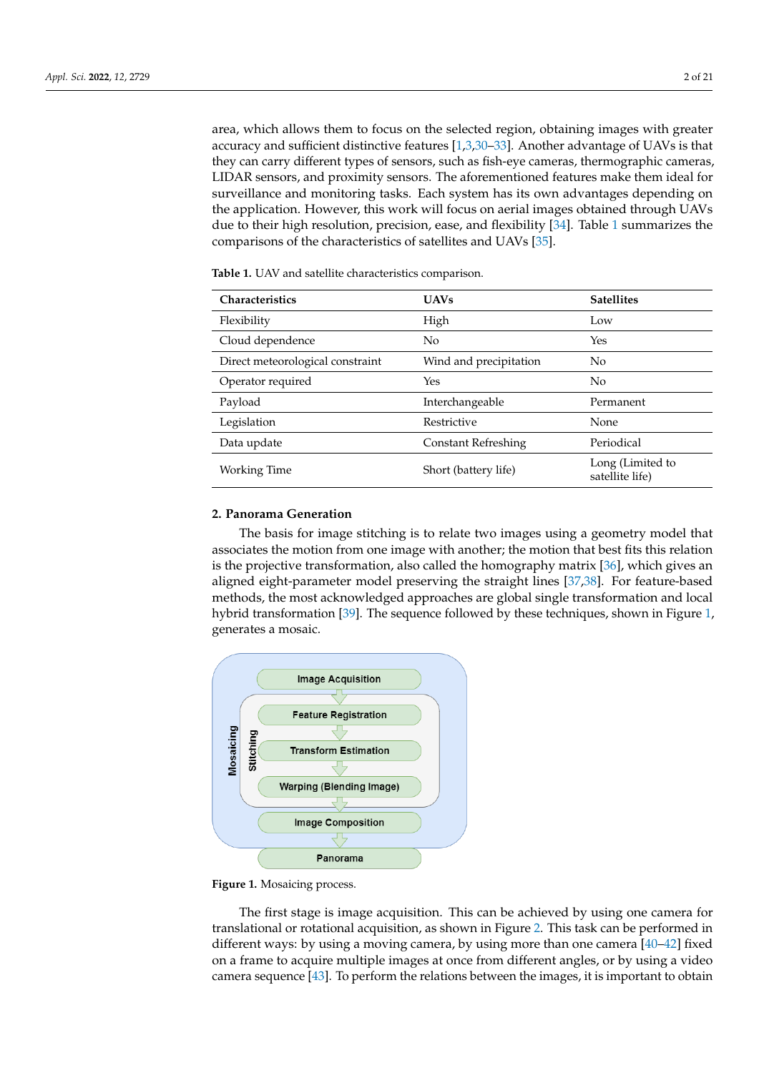area, which allows them to focus on the selected region, obtaining images with greater accuracy and sufficient distinctive features [\[1](#page-15-0)[,3,](#page-15-1)[30–](#page-17-0)[33\]](#page-17-1). Another advantage of UAVs is that they can carry different types of sensors, such as fish-eye cameras, thermographic cameras, LIDAR sensors, and proximity sensors. The aforementioned features make them ideal for surveillance and monitoring tasks. Each system has its own advantages depending on the application. However, this work will focus on aerial images obtained through UAVs due to their high resolution, precision, ease, and flexibility [\[34\]](#page-17-2). Table [1](#page-1-0) summarizes the comparisons of the characteristics of satellites and UAVs [\[35\]](#page-17-3).

| <b>Characteristics</b>           | <b>UAVs</b>                | <b>Satellites</b>                   |
|----------------------------------|----------------------------|-------------------------------------|
| Flexibility                      | High                       | Low                                 |
| Cloud dependence                 | No                         | Yes                                 |
| Direct meteorological constraint | Wind and precipitation     | N <sub>o</sub>                      |
| Operator required                | Yes                        | N <sub>o</sub>                      |
| Payload                          | Interchangeable            | Permanent                           |
| Legislation                      | Restrictive                | None                                |
| Data update                      | <b>Constant Refreshing</b> | Periodical                          |
| Working Time                     | Short (battery life)       | Long (Limited to<br>satellite life) |

<span id="page-1-0"></span>**Table 1.** UAV and satellite characteristics comparison.

## **2. Panorama Generation**

The basis for image stitching is to relate two images using a geometry model that associates the motion from one image with another; the motion that best fits this relation is the projective transformation, also called the homography matrix [\[36\]](#page-17-4), which gives an aligned eight-parameter model preserving the straight lines [\[37,](#page-17-5)[38\]](#page-17-6). For feature-based methods, the most acknowledged approaches are global single transformation and local hybrid transformation [\[39\]](#page-17-7). The sequence followed by these techniques, shown in Figure [1,](#page-1-1) generates a mosaic.

<span id="page-1-1"></span>

**Figure 1.** Mosaicing process.

The first stage is image acquisition. This can be achieved by using one camera for translational or rotational acquisition, as shown in Figure [2.](#page-2-0) This task can be performed in different ways: by using a moving camera, by using more than one camera [\[40–](#page-17-8)[42\]](#page-17-9) fixed on a frame to acquire multiple images at once from different angles, or by using a video camera sequence [\[43\]](#page-17-10). To perform the relations between the images, it is important to obtain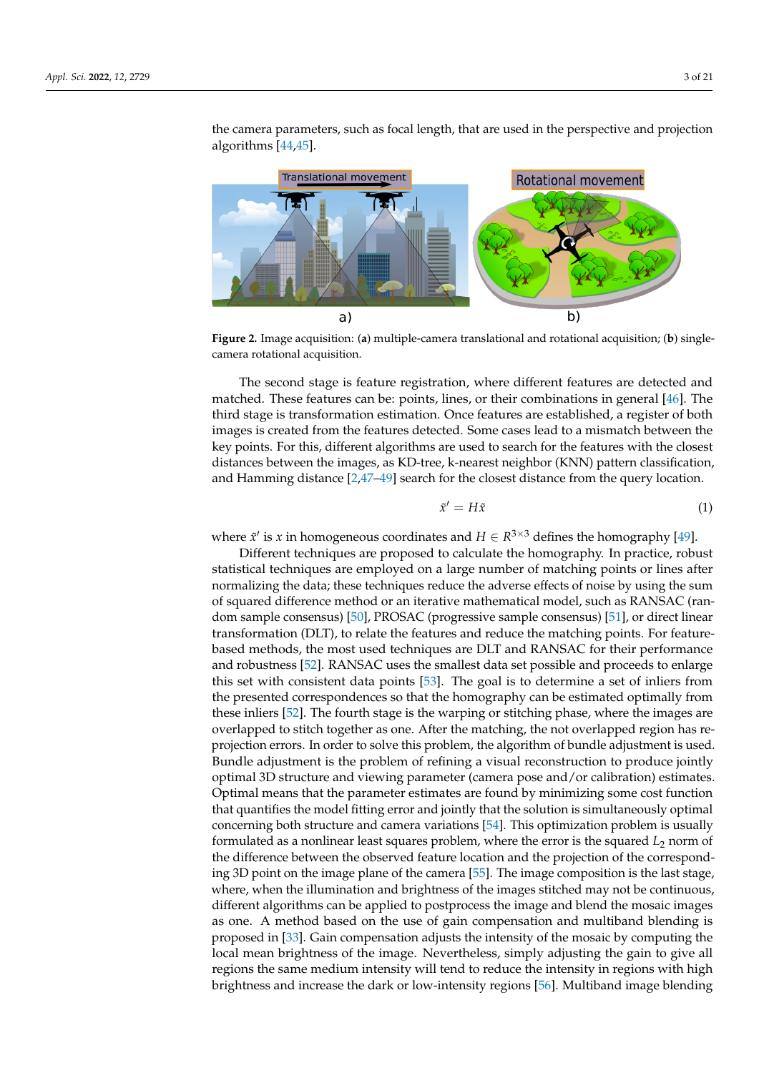<span id="page-2-0"></span>

the camera parameters, such as focal length, that are used in the perspective and projection algorithms [\[44](#page-17-11)[,45\]](#page-17-12).

**Figure 2.** Image acquisition: (**a**) multiple-camera translational and rotational acquisition; (**b**) singlecamera rotational acquisition.

The second stage is feature registration, where different features are detected and matched. These features can be: points, lines, or their combinations in general [\[46\]](#page-17-13). The third stage is transformation estimation. Once features are established, a register of both images is created from the features detected. Some cases lead to a mismatch between the key points. For this, different algorithms are used to search for the features with the closest distances between the images, as KD-tree, k-nearest neighbor (KNN) pattern classification, and Hamming distance [\[2,](#page-15-2)[47](#page-17-14)[–49\]](#page-17-15) search for the closest distance from the query location.

$$
\tilde{x}' = H\tilde{x} \tag{1}
$$

where  $\tilde{x}'$  is *x* in homogeneous coordinates and  $H \in R^{3 \times 3}$  defines the homography [\[49\]](#page-17-15).

Different techniques are proposed to calculate the homography. In practice, robust statistical techniques are employed on a large number of matching points or lines after normalizing the data; these techniques reduce the adverse effects of noise by using the sum of squared difference method or an iterative mathematical model, such as RANSAC (random sample consensus) [\[50\]](#page-17-16), PROSAC (progressive sample consensus) [\[51\]](#page-17-17), or direct linear transformation (DLT), to relate the features and reduce the matching points. For featurebased methods, the most used techniques are DLT and RANSAC for their performance and robustness [\[52\]](#page-17-18). RANSAC uses the smallest data set possible and proceeds to enlarge this set with consistent data points [\[53\]](#page-17-19). The goal is to determine a set of inliers from the presented correspondences so that the homography can be estimated optimally from these inliers [\[52\]](#page-17-18). The fourth stage is the warping or stitching phase, where the images are overlapped to stitch together as one. After the matching, the not overlapped region has reprojection errors. In order to solve this problem, the algorithm of bundle adjustment is used. Bundle adjustment is the problem of refining a visual reconstruction to produce jointly optimal 3D structure and viewing parameter (camera pose and/or calibration) estimates. Optimal means that the parameter estimates are found by minimizing some cost function that quantifies the model fitting error and jointly that the solution is simultaneously optimal concerning both structure and camera variations [\[54\]](#page-17-20). This optimization problem is usually formulated as a nonlinear least squares problem, where the error is the squared *L*<sup>2</sup> norm of the difference between the observed feature location and the projection of the corresponding 3D point on the image plane of the camera [\[55\]](#page-18-0). The image composition is the last stage, where, when the illumination and brightness of the images stitched may not be continuous, different algorithms can be applied to postprocess the image and blend the mosaic images as one. A method based on the use of gain compensation and multiband blending is proposed in [\[33\]](#page-17-1). Gain compensation adjusts the intensity of the mosaic by computing the local mean brightness of the image. Nevertheless, simply adjusting the gain to give all regions the same medium intensity will tend to reduce the intensity in regions with high brightness and increase the dark or low-intensity regions [\[56\]](#page-18-1). Multiband image blending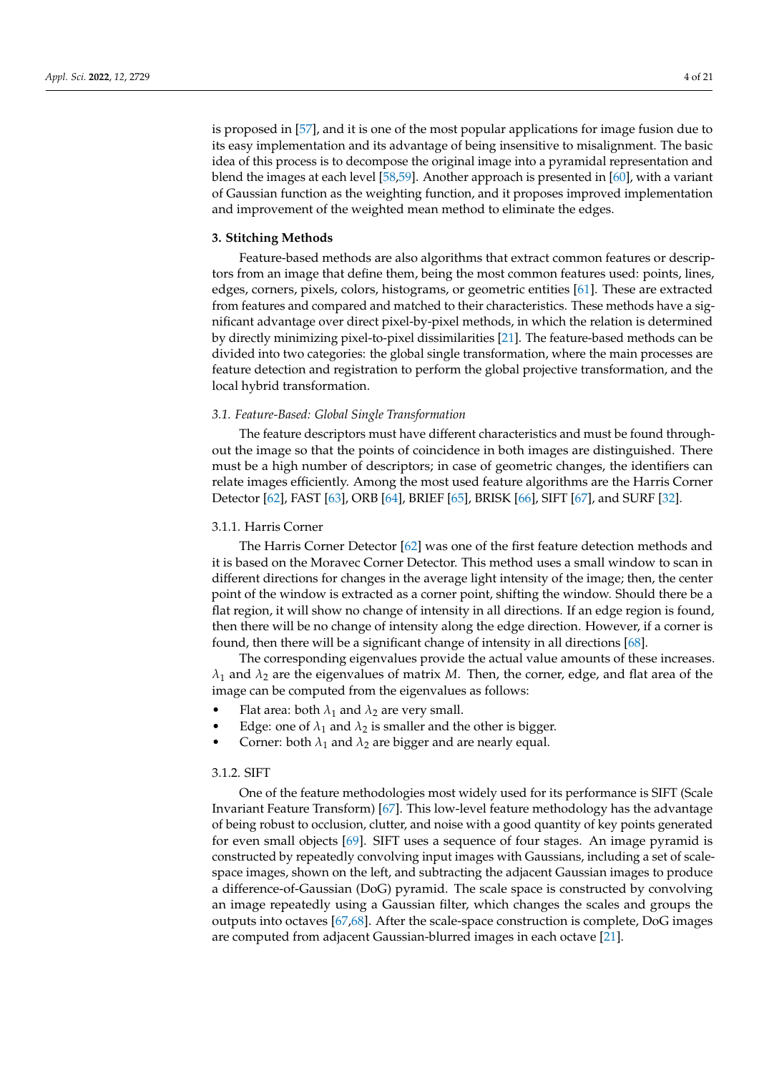is proposed in [\[57\]](#page-18-2), and it is one of the most popular applications for image fusion due to its easy implementation and its advantage of being insensitive to misalignment. The basic idea of this process is to decompose the original image into a pyramidal representation and blend the images at each level [\[58](#page-18-3)[,59\]](#page-18-4). Another approach is presented in [\[60\]](#page-18-5), with a variant of Gaussian function as the weighting function, and it proposes improved implementation and improvement of the weighted mean method to eliminate the edges.

#### **3. Stitching Methods**

Feature-based methods are also algorithms that extract common features or descriptors from an image that define them, being the most common features used: points, lines, edges, corners, pixels, colors, histograms, or geometric entities [\[61\]](#page-18-6). These are extracted from features and compared and matched to their characteristics. These methods have a significant advantage over direct pixel-by-pixel methods, in which the relation is determined by directly minimizing pixel-to-pixel dissimilarities [\[21\]](#page-16-13). The feature-based methods can be divided into two categories: the global single transformation, where the main processes are feature detection and registration to perform the global projective transformation, and the local hybrid transformation.

# *3.1. Feature-Based: Global Single Transformation*

The feature descriptors must have different characteristics and must be found throughout the image so that the points of coincidence in both images are distinguished. There must be a high number of descriptors; in case of geometric changes, the identifiers can relate images efficiently. Among the most used feature algorithms are the Harris Corner Detector [\[62\]](#page-18-7), FAST [\[63\]](#page-18-8), ORB [\[64\]](#page-18-9), BRIEF [\[65\]](#page-18-10), BRISK [\[66\]](#page-18-11), SIFT [\[67\]](#page-18-12), and SURF [\[32\]](#page-17-21).

# 3.1.1. Harris Corner

The Harris Corner Detector [\[62\]](#page-18-7) was one of the first feature detection methods and it is based on the Moravec Corner Detector. This method uses a small window to scan in different directions for changes in the average light intensity of the image; then, the center point of the window is extracted as a corner point, shifting the window. Should there be a flat region, it will show no change of intensity in all directions. If an edge region is found, then there will be no change of intensity along the edge direction. However, if a corner is found, then there will be a significant change of intensity in all directions [\[68\]](#page-18-13).

The corresponding eigenvalues provide the actual value amounts of these increases.  $\lambda_1$  and  $\lambda_2$  are the eigenvalues of matrix *M*. Then, the corner, edge, and flat area of the image can be computed from the eigenvalues as follows:

- Flat area: both  $\lambda_1$  and  $\lambda_2$  are very small.
- Edge: one of  $\lambda_1$  and  $\lambda_2$  is smaller and the other is bigger.
- Corner: both  $\lambda_1$  and  $\lambda_2$  are bigger and are nearly equal.

# 3.1.2. SIFT

One of the feature methodologies most widely used for its performance is SIFT (Scale Invariant Feature Transform) [\[67\]](#page-18-12). This low-level feature methodology has the advantage of being robust to occlusion, clutter, and noise with a good quantity of key points generated for even small objects [\[69\]](#page-18-14). SIFT uses a sequence of four stages. An image pyramid is constructed by repeatedly convolving input images with Gaussians, including a set of scalespace images, shown on the left, and subtracting the adjacent Gaussian images to produce a difference-of-Gaussian (DoG) pyramid. The scale space is constructed by convolving an image repeatedly using a Gaussian filter, which changes the scales and groups the outputs into octaves [\[67,](#page-18-12)[68\]](#page-18-13). After the scale-space construction is complete, DoG images are computed from adjacent Gaussian-blurred images in each octave [\[21\]](#page-16-13).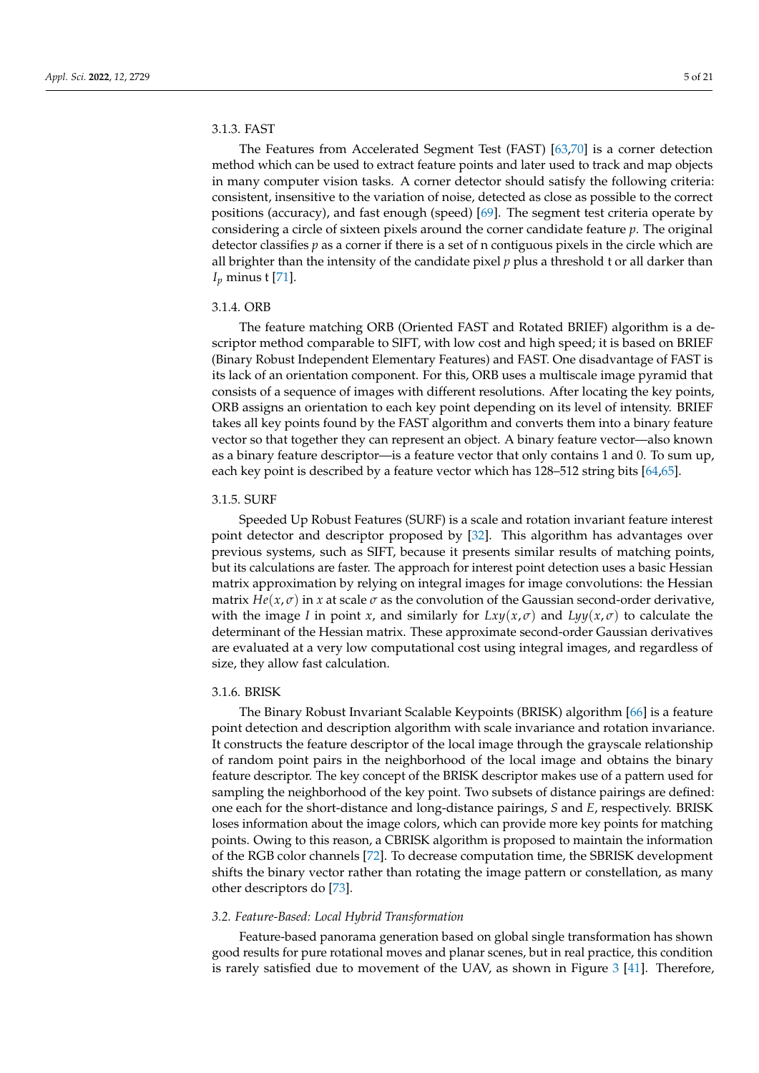## 3.1.3. FAST

The Features from Accelerated Segment Test (FAST) [\[63](#page-18-8)[,70\]](#page-18-15) is a corner detection method which can be used to extract feature points and later used to track and map objects in many computer vision tasks. A corner detector should satisfy the following criteria: consistent, insensitive to the variation of noise, detected as close as possible to the correct positions (accuracy), and fast enough (speed) [\[69\]](#page-18-14). The segment test criteria operate by considering a circle of sixteen pixels around the corner candidate feature *p*. The original detector classifies *p* as a corner if there is a set of n contiguous pixels in the circle which are all brighter than the intensity of the candidate pixel *p* plus a threshold t or all darker than *I<sup>p</sup>* minus t [\[71\]](#page-18-16).

### 3.1.4. ORB

The feature matching ORB (Oriented FAST and Rotated BRIEF) algorithm is a descriptor method comparable to SIFT, with low cost and high speed; it is based on BRIEF (Binary Robust Independent Elementary Features) and FAST. One disadvantage of FAST is its lack of an orientation component. For this, ORB uses a multiscale image pyramid that consists of a sequence of images with different resolutions. After locating the key points, ORB assigns an orientation to each key point depending on its level of intensity. BRIEF takes all key points found by the FAST algorithm and converts them into a binary feature vector so that together they can represent an object. A binary feature vector—also known as a binary feature descriptor—is a feature vector that only contains 1 and 0. To sum up, each key point is described by a feature vector which has 128–512 string bits [\[64,](#page-18-9)[65\]](#page-18-10).

### 3.1.5. SURF

Speeded Up Robust Features (SURF) is a scale and rotation invariant feature interest point detector and descriptor proposed by [\[32\]](#page-17-21). This algorithm has advantages over previous systems, such as SIFT, because it presents similar results of matching points, but its calculations are faster. The approach for interest point detection uses a basic Hessian matrix approximation by relying on integral images for image convolutions: the Hessian matrix  $He(x, \sigma)$  in x at scale  $\sigma$  as the convolution of the Gaussian second-order derivative, with the image *I* in point *x*, and similarly for  $Lxy(x,\sigma)$  and  $Lyy(x,\sigma)$  to calculate the determinant of the Hessian matrix. These approximate second-order Gaussian derivatives are evaluated at a very low computational cost using integral images, and regardless of size, they allow fast calculation.

# 3.1.6. BRISK

The Binary Robust Invariant Scalable Keypoints (BRISK) algorithm [\[66\]](#page-18-11) is a feature point detection and description algorithm with scale invariance and rotation invariance. It constructs the feature descriptor of the local image through the grayscale relationship of random point pairs in the neighborhood of the local image and obtains the binary feature descriptor. The key concept of the BRISK descriptor makes use of a pattern used for sampling the neighborhood of the key point. Two subsets of distance pairings are defined: one each for the short-distance and long-distance pairings, *S* and *E*, respectively. BRISK loses information about the image colors, which can provide more key points for matching points. Owing to this reason, a CBRISK algorithm is proposed to maintain the information of the RGB color channels [\[72\]](#page-18-17). To decrease computation time, the SBRISK development shifts the binary vector rather than rotating the image pattern or constellation, as many other descriptors do [\[73\]](#page-18-18).

#### *3.2. Feature-Based: Local Hybrid Transformation*

Feature-based panorama generation based on global single transformation has shown good results for pure rotational moves and planar scenes, but in real practice, this condition is rarely satisfied due to movement of the UAV, as shown in Figure [3](#page-5-0) [\[41\]](#page-17-22). Therefore,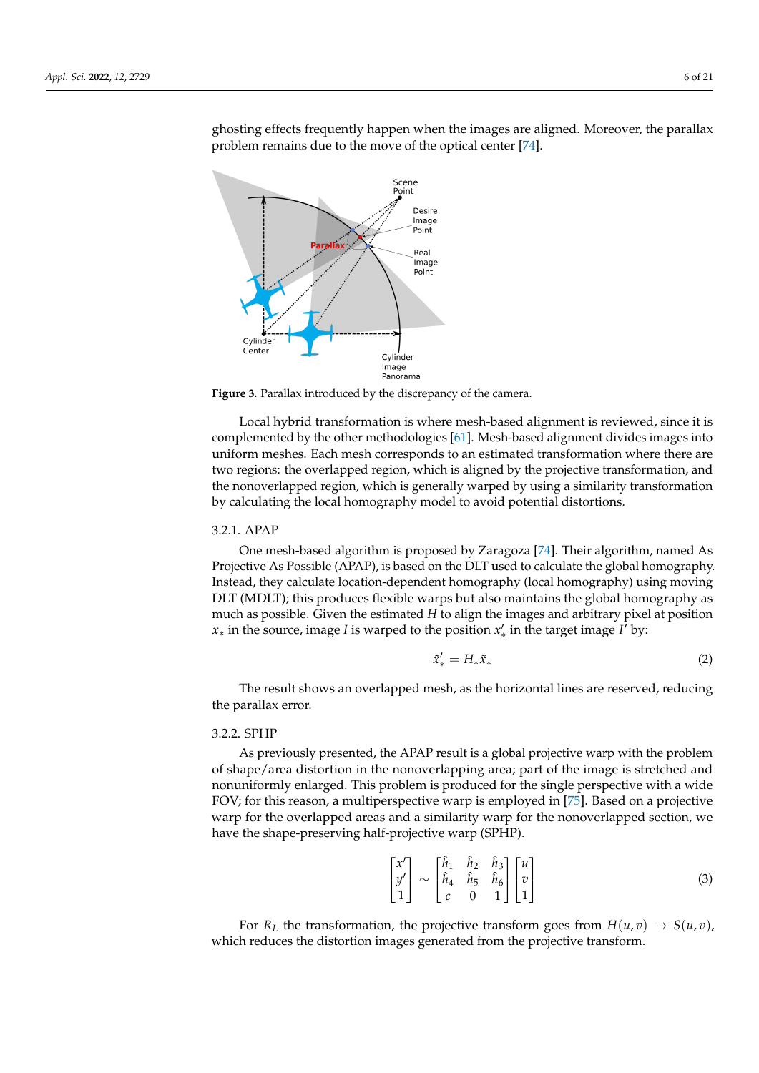ghosting effects frequently happen when the images are aligned. Moreover, the parallax problem remains due to the move of the optical center [\[74\]](#page-18-19).

<span id="page-5-0"></span>

**Figure 3.** Parallax introduced by the discrepancy of the camera.

Local hybrid transformation is where mesh-based alignment is reviewed, since it is complemented by the other methodologies [\[61\]](#page-18-6). Mesh-based alignment divides images into uniform meshes. Each mesh corresponds to an estimated transformation where there are two regions: the overlapped region, which is aligned by the projective transformation, and the nonoverlapped region, which is generally warped by using a similarity transformation by calculating the local homography model to avoid potential distortions.

# 3.2.1. APAP

One mesh-based algorithm is proposed by Zaragoza [\[74\]](#page-18-19). Their algorithm, named As Projective As Possible (APAP), is based on the DLT used to calculate the global homography. Instead, they calculate location-dependent homography (local homography) using moving DLT (MDLT); this produces flexible warps but also maintains the global homography as much as possible. Given the estimated *H* to align the images and arbitrary pixel at position *x*<sub>∗</sub> in the source, image *I* is warped to the position  $x'_{*}$  in the target image *I<sup>†</sup>* by:

$$
\tilde{x}'_* = H_* \tilde{x}_* \tag{2}
$$

The result shows an overlapped mesh, as the horizontal lines are reserved, reducing the parallax error.

# 3.2.2. SPHP

As previously presented, the APAP result is a global projective warp with the problem of shape/area distortion in the nonoverlapping area; part of the image is stretched and nonuniformly enlarged. This problem is produced for the single perspective with a wide FOV; for this reason, a multiperspective warp is employed in [\[75\]](#page-18-20). Based on a projective warp for the overlapped areas and a similarity warp for the nonoverlapped section, we have the shape-preserving half-projective warp (SPHP).

$$
\begin{bmatrix} x' \\ y' \\ 1 \end{bmatrix} \sim \begin{bmatrix} \hat{h}_1 & \hat{h}_2 & \hat{h}_3 \\ \hat{h}_4 & \hat{h}_5 & \hat{h}_6 \\ c & 0 & 1 \end{bmatrix} \begin{bmatrix} u \\ v \\ 1 \end{bmatrix}
$$
 (3)

For  $R_L$  the transformation, the projective transform goes from  $H(u, v) \rightarrow S(u, v)$ , which reduces the distortion images generated from the projective transform.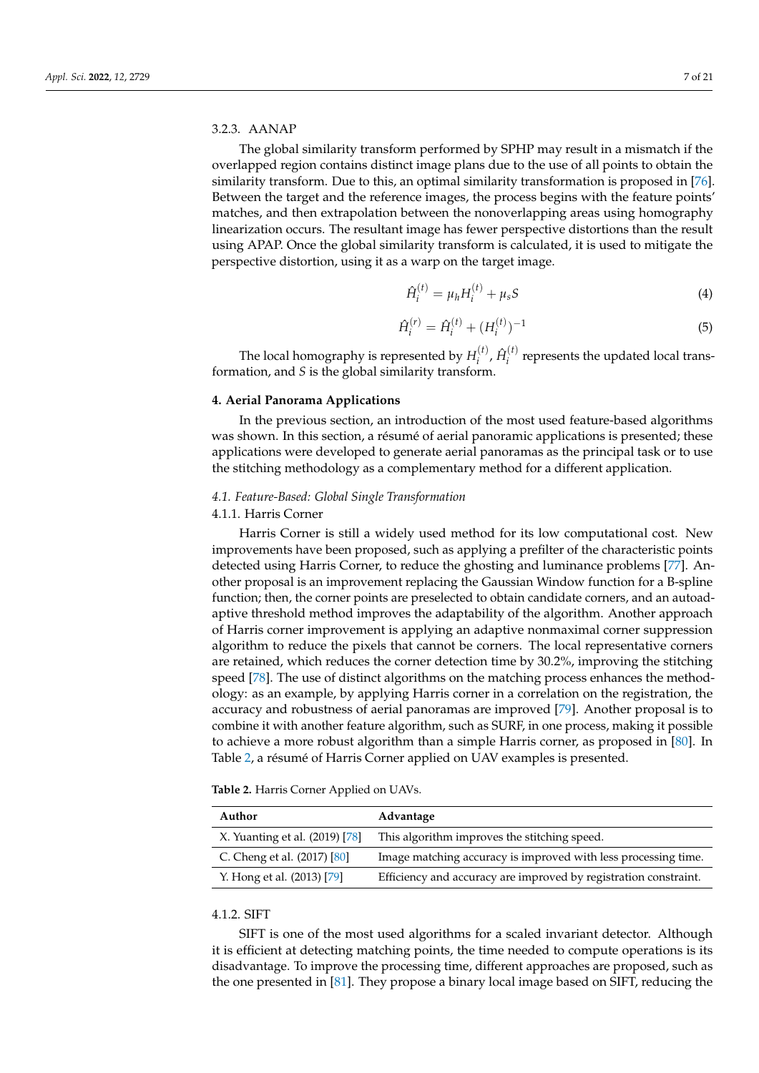# 3.2.3. AANAP

The global similarity transform performed by SPHP may result in a mismatch if the overlapped region contains distinct image plans due to the use of all points to obtain the similarity transform. Due to this, an optimal similarity transformation is proposed in [\[76\]](#page-18-21). Between the target and the reference images, the process begins with the feature points' matches, and then extrapolation between the nonoverlapping areas using homography linearization occurs. The resultant image has fewer perspective distortions than the result using APAP. Once the global similarity transform is calculated, it is used to mitigate the perspective distortion, using it as a warp on the target image.

$$
\hat{H}_i^{(t)} = \mu_h H_i^{(t)} + \mu_s S \tag{4}
$$

$$
\hat{H}_i^{(r)} = \hat{H}_i^{(t)} + (H_i^{(t)})^{-1} \tag{5}
$$

The local homography is represented by  $H_i^{(t)}$  $\hat{H}_i^{(t)}$ ,  $\hat{H}_i^{(t)}$  $i_i^{(1)}$  represents the updated local transformation, and *S* is the global similarity transform.

#### **4. Aerial Panorama Applications**

In the previous section, an introduction of the most used feature-based algorithms was shown. In this section, a résumé of aerial panoramic applications is presented; these applications were developed to generate aerial panoramas as the principal task or to use the stitching methodology as a complementary method for a different application.

# *4.1. Feature-Based: Global Single Transformation*

# 4.1.1. Harris Corner

Harris Corner is still a widely used method for its low computational cost. New improvements have been proposed, such as applying a prefilter of the characteristic points detected using Harris Corner, to reduce the ghosting and luminance problems [\[77\]](#page-18-22). Another proposal is an improvement replacing the Gaussian Window function for a B-spline function; then, the corner points are preselected to obtain candidate corners, and an autoadaptive threshold method improves the adaptability of the algorithm. Another approach of Harris corner improvement is applying an adaptive nonmaximal corner suppression algorithm to reduce the pixels that cannot be corners. The local representative corners are retained, which reduces the corner detection time by 30.2%, improving the stitching speed [\[78\]](#page-18-23). The use of distinct algorithms on the matching process enhances the methodology: as an example, by applying Harris corner in a correlation on the registration, the accuracy and robustness of aerial panoramas are improved [\[79\]](#page-19-0). Another proposal is to combine it with another feature algorithm, such as SURF, in one process, making it possible to achieve a more robust algorithm than a simple Harris corner, as proposed in [\[80\]](#page-19-1). In Table [2,](#page-6-0) a résumé of Harris Corner applied on UAV examples is presented.

<span id="page-6-0"></span>

| <b>Table 2.</b> Harris Corner Applied on UAVs. |  |
|------------------------------------------------|--|
|------------------------------------------------|--|

| Author                         | Advantage                                                        |
|--------------------------------|------------------------------------------------------------------|
| X. Yuanting et al. (2019) [78] | This algorithm improves the stitching speed.                     |
| C. Cheng et al. (2017) [80]    | Image matching accuracy is improved with less processing time.   |
| Y. Hong et al. (2013) [79]     | Efficiency and accuracy are improved by registration constraint. |

# 4.1.2. SIFT

SIFT is one of the most used algorithms for a scaled invariant detector. Although it is efficient at detecting matching points, the time needed to compute operations is its disadvantage. To improve the processing time, different approaches are proposed, such as the one presented in [\[81\]](#page-19-2). They propose a binary local image based on SIFT, reducing the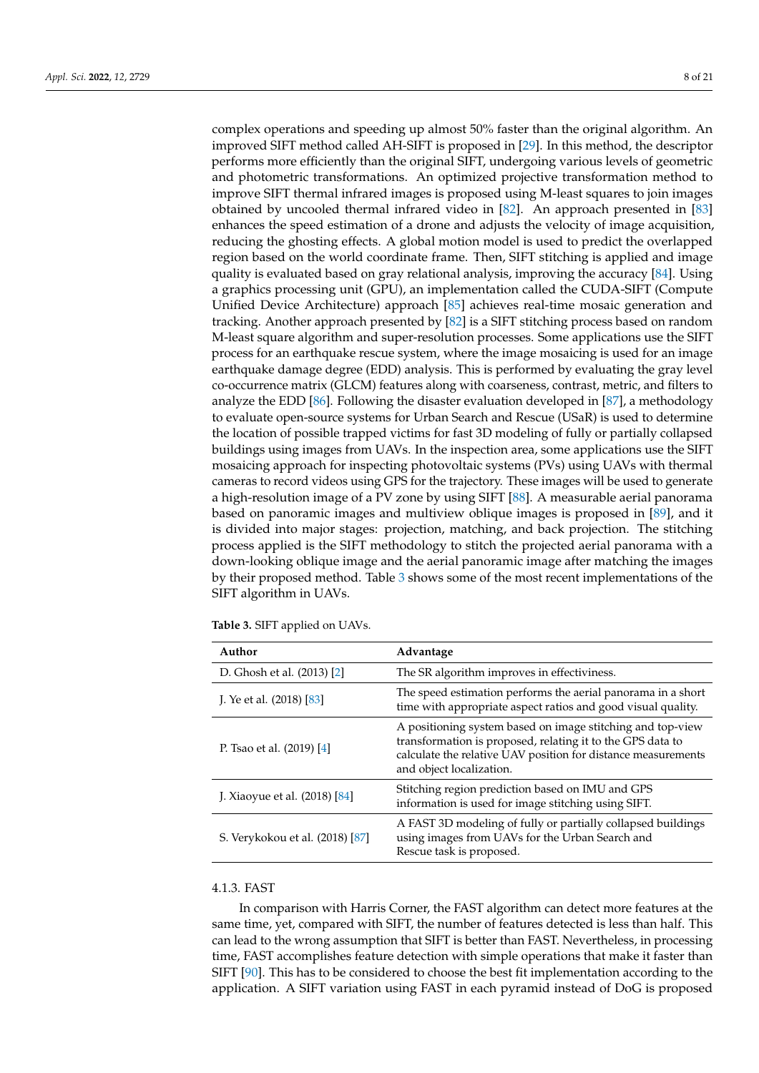complex operations and speeding up almost 50% faster than the original algorithm. An improved SIFT method called AH-SIFT is proposed in [\[29\]](#page-16-18). In this method, the descriptor performs more efficiently than the original SIFT, undergoing various levels of geometric and photometric transformations. An optimized projective transformation method to improve SIFT thermal infrared images is proposed using M-least squares to join images obtained by uncooled thermal infrared video in [\[82\]](#page-19-3). An approach presented in [\[83\]](#page-19-4) enhances the speed estimation of a drone and adjusts the velocity of image acquisition, reducing the ghosting effects. A global motion model is used to predict the overlapped region based on the world coordinate frame. Then, SIFT stitching is applied and image quality is evaluated based on gray relational analysis, improving the accuracy [\[84\]](#page-19-5). Using a graphics processing unit (GPU), an implementation called the CUDA-SIFT (Compute Unified Device Architecture) approach [\[85\]](#page-19-6) achieves real-time mosaic generation and tracking. Another approach presented by [\[82\]](#page-19-3) is a SIFT stitching process based on random M-least square algorithm and super-resolution processes. Some applications use the SIFT process for an earthquake rescue system, where the image mosaicing is used for an image earthquake damage degree (EDD) analysis. This is performed by evaluating the gray level co-occurrence matrix (GLCM) features along with coarseness, contrast, metric, and filters to analyze the EDD [\[86\]](#page-19-7). Following the disaster evaluation developed in [\[87\]](#page-19-8), a methodology to evaluate open-source systems for Urban Search and Rescue (USaR) is used to determine the location of possible trapped victims for fast 3D modeling of fully or partially collapsed buildings using images from UAVs. In the inspection area, some applications use the SIFT mosaicing approach for inspecting photovoltaic systems (PVs) using UAVs with thermal cameras to record videos using GPS for the trajectory. These images will be used to generate a high-resolution image of a PV zone by using SIFT [\[88\]](#page-19-9). A measurable aerial panorama based on panoramic images and multiview oblique images is proposed in [\[89\]](#page-19-10), and it is divided into major stages: projection, matching, and back projection. The stitching process applied is the SIFT methodology to stitch the projected aerial panorama with a down-looking oblique image and the aerial panoramic image after matching the images by their proposed method. Table [3](#page-7-0) shows some of the most recent implementations of the SIFT algorithm in UAVs.

| Author                          | Advantage                                                                                                                                                                                                             |
|---------------------------------|-----------------------------------------------------------------------------------------------------------------------------------------------------------------------------------------------------------------------|
| D. Ghosh et al. (2013) [2]      | The SR algorithm improves in effectiviness.                                                                                                                                                                           |
| J. Ye et al. (2018) [83]        | The speed estimation performs the aerial panorama in a short<br>time with appropriate aspect ratios and good visual quality.                                                                                          |
| P. Tsao et al. (2019) [4]       | A positioning system based on image stitching and top-view<br>transformation is proposed, relating it to the GPS data to<br>calculate the relative UAV position for distance measurements<br>and object localization. |
| J. Xiaoyue et al. (2018) [84]   | Stitching region prediction based on IMU and GPS<br>information is used for image stitching using SIFT.                                                                                                               |
| S. Verykokou et al. (2018) [87] | A FAST 3D modeling of fully or partially collapsed buildings<br>using images from UAVs for the Urban Search and<br>Rescue task is proposed.                                                                           |

<span id="page-7-0"></span>**Table 3.** SIFT applied on UAVs.

#### 4.1.3. FAST

In comparison with Harris Corner, the FAST algorithm can detect more features at the same time, yet, compared with SIFT, the number of features detected is less than half. This can lead to the wrong assumption that SIFT is better than FAST. Nevertheless, in processing time, FAST accomplishes feature detection with simple operations that make it faster than SIFT [\[90\]](#page-19-11). This has to be considered to choose the best fit implementation according to the application. A SIFT variation using FAST in each pyramid instead of DoG is proposed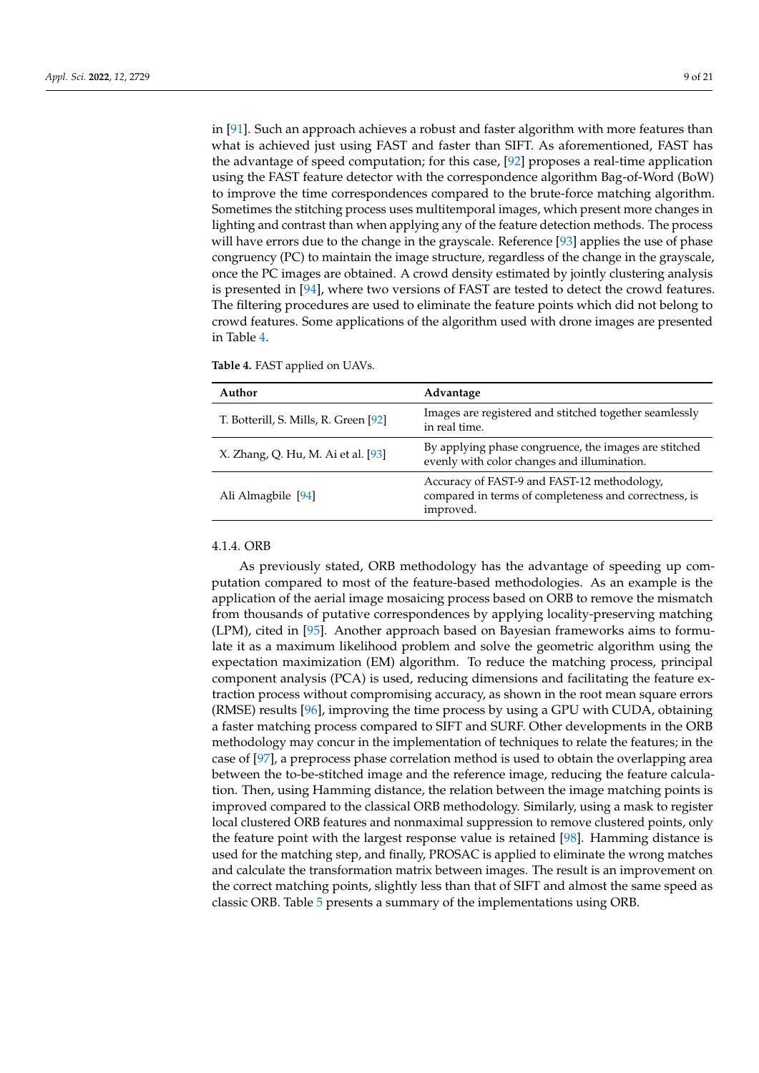in [\[91\]](#page-19-12). Such an approach achieves a robust and faster algorithm with more features than what is achieved just using FAST and faster than SIFT. As aforementioned, FAST has the advantage of speed computation; for this case, [\[92\]](#page-19-13) proposes a real-time application using the FAST feature detector with the correspondence algorithm Bag-of-Word (BoW) to improve the time correspondences compared to the brute-force matching algorithm. Sometimes the stitching process uses multitemporal images, which present more changes in lighting and contrast than when applying any of the feature detection methods. The process will have errors due to the change in the grayscale. Reference [\[93\]](#page-19-14) applies the use of phase congruency (PC) to maintain the image structure, regardless of the change in the grayscale, once the PC images are obtained. A crowd density estimated by jointly clustering analysis is presented in [\[94\]](#page-19-15), where two versions of FAST are tested to detect the crowd features. The filtering procedures are used to eliminate the feature points which did not belong to crowd features. Some applications of the algorithm used with drone images are presented in Table [4.](#page-8-0)

<span id="page-8-0"></span>

| Author                                | Advantage                                                                                                         |
|---------------------------------------|-------------------------------------------------------------------------------------------------------------------|
| T. Botterill, S. Mills, R. Green [92] | Images are registered and stitched together seamlessly<br>in real time.                                           |
| X. Zhang, Q. Hu, M. Ai et al. [93]    | By applying phase congruence, the images are stitched<br>evenly with color changes and illumination.              |
| Ali Almagbile [94]                    | Accuracy of FAST-9 and FAST-12 methodology,<br>compared in terms of completeness and correctness, is<br>improved. |

#### 4.1.4. ORB

As previously stated, ORB methodology has the advantage of speeding up computation compared to most of the feature-based methodologies. As an example is the application of the aerial image mosaicing process based on ORB to remove the mismatch from thousands of putative correspondences by applying locality-preserving matching (LPM), cited in [\[95\]](#page-19-16). Another approach based on Bayesian frameworks aims to formulate it as a maximum likelihood problem and solve the geometric algorithm using the expectation maximization (EM) algorithm. To reduce the matching process, principal component analysis (PCA) is used, reducing dimensions and facilitating the feature extraction process without compromising accuracy, as shown in the root mean square errors (RMSE) results [\[96\]](#page-19-17), improving the time process by using a GPU with CUDA, obtaining a faster matching process compared to SIFT and SURF. Other developments in the ORB methodology may concur in the implementation of techniques to relate the features; in the case of [\[97\]](#page-19-18), a preprocess phase correlation method is used to obtain the overlapping area between the to-be-stitched image and the reference image, reducing the feature calculation. Then, using Hamming distance, the relation between the image matching points is improved compared to the classical ORB methodology. Similarly, using a mask to register local clustered ORB features and nonmaximal suppression to remove clustered points, only the feature point with the largest response value is retained [\[98\]](#page-19-19). Hamming distance is used for the matching step, and finally, PROSAC is applied to eliminate the wrong matches and calculate the transformation matrix between images. The result is an improvement on the correct matching points, slightly less than that of SIFT and almost the same speed as classic ORB. Table [5](#page-9-0) presents a summary of the implementations using ORB.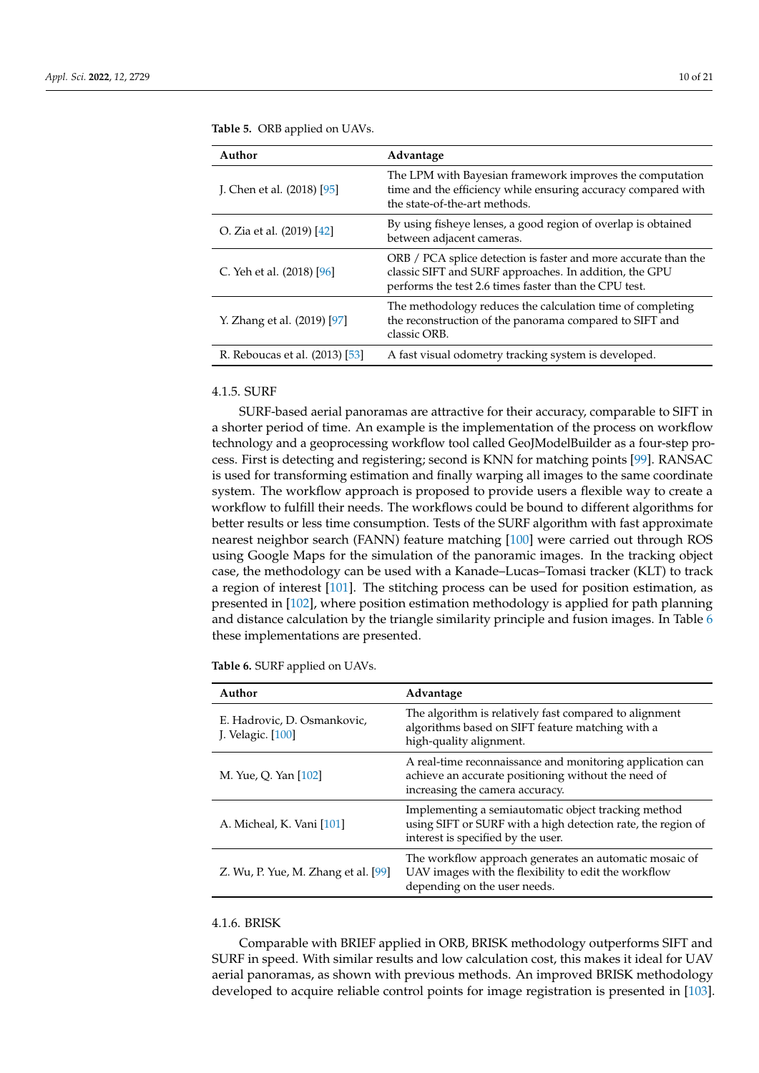| Author                         | Advantage                                                                                                                                                                          |
|--------------------------------|------------------------------------------------------------------------------------------------------------------------------------------------------------------------------------|
| J. Chen et al. $(2018)$ [95]   | The LPM with Bayesian framework improves the computation<br>time and the efficiency while ensuring accuracy compared with<br>the state-of-the-art methods.                         |
| O. Zia et al. (2019) [42]      | By using fisheye lenses, a good region of overlap is obtained<br>between adjacent cameras.                                                                                         |
| C. Yeh et al. (2018) [96]      | ORB / PCA splice detection is faster and more accurate than the<br>classic SIFT and SURF approaches. In addition, the GPU<br>performs the test 2.6 times faster than the CPU test. |
| Y. Zhang et al. (2019) [97]    | The methodology reduces the calculation time of completing<br>the reconstruction of the panorama compared to SIFT and<br>classic ORB.                                              |
| R. Reboucas et al. (2013) [53] | A fast visual odometry tracking system is developed.                                                                                                                               |

<span id="page-9-0"></span>**Table 5.** ORB applied on UAVs.

### 4.1.5. SURF

SURF-based aerial panoramas are attractive for their accuracy, comparable to SIFT in a shorter period of time. An example is the implementation of the process on workflow technology and a geoprocessing workflow tool called GeoJModelBuilder as a four-step process. First is detecting and registering; second is KNN for matching points [\[99\]](#page-19-20). RANSAC is used for transforming estimation and finally warping all images to the same coordinate system. The workflow approach is proposed to provide users a flexible way to create a workflow to fulfill their needs. The workflows could be bound to different algorithms for better results or less time consumption. Tests of the SURF algorithm with fast approximate nearest neighbor search (FANN) feature matching [\[100\]](#page-20-0) were carried out through ROS using Google Maps for the simulation of the panoramic images. In the tracking object case, the methodology can be used with a Kanade–Lucas–Tomasi tracker (KLT) to track a region of interest [\[101\]](#page-20-1). The stitching process can be used for position estimation, as presented in [\[102\]](#page-20-2), where position estimation methodology is applied for path planning and distance calculation by the triangle similarity principle and fusion images. In Table [6](#page-9-1) these implementations are presented.

<span id="page-9-1"></span>**Table 6.** SURF applied on UAVs.

| Author                                           | Advantage                                                                                                                                                 |
|--------------------------------------------------|-----------------------------------------------------------------------------------------------------------------------------------------------------------|
| E. Hadrovic, D. Osmankovic,<br>J. Velagic. [100] | The algorithm is relatively fast compared to alignment<br>algorithms based on SIFT feature matching with a<br>high-quality alignment.                     |
| M. Yue, Q. Yan [102]                             | A real-time reconnaissance and monitoring application can<br>achieve an accurate positioning without the need of<br>increasing the camera accuracy.       |
| A. Micheal, K. Vani [101]                        | Implementing a semiautomatic object tracking method<br>using SIFT or SURF with a high detection rate, the region of<br>interest is specified by the user. |
| Z. Wu, P. Yue, M. Zhang et al. $[99]$            | The workflow approach generates an automatic mosaic of<br>UAV images with the flexibility to edit the workflow<br>depending on the user needs.            |

### 4.1.6. BRISK

Comparable with BRIEF applied in ORB, BRISK methodology outperforms SIFT and SURF in speed. With similar results and low calculation cost, this makes it ideal for UAV aerial panoramas, as shown with previous methods. An improved BRISK methodology developed to acquire reliable control points for image registration is presented in [\[103\]](#page-20-3).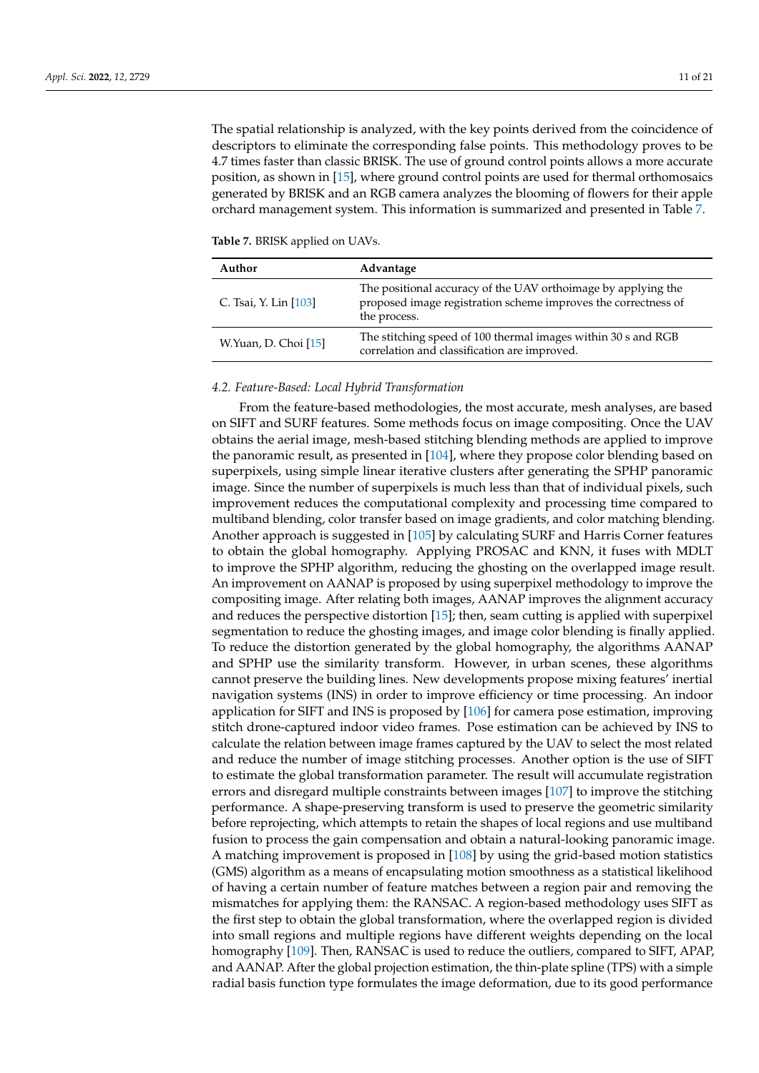The spatial relationship is analyzed, with the key points derived from the coincidence of descriptors to eliminate the corresponding false points. This methodology proves to be 4.7 times faster than classic BRISK. The use of ground control points allows a more accurate position, as shown in [\[15\]](#page-16-8), where ground control points are used for thermal orthomosaics generated by BRISK and an RGB camera analyzes the blooming of flowers for their apple orchard management system. This information is summarized and presented in Table [7.](#page-10-0)

<span id="page-10-0"></span>**Table 7.** BRISK applied on UAVs.

| Author                | Advantage                                                                                                                                       |
|-----------------------|-------------------------------------------------------------------------------------------------------------------------------------------------|
| C. Tsai, Y. Lin [103] | The positional accuracy of the UAV orthoimage by applying the<br>proposed image registration scheme improves the correctness of<br>the process. |
| W.Yuan, D. Choi [15]  | The stitching speed of 100 thermal images within 30 s and RGB<br>correlation and classification are improved.                                   |

### *4.2. Feature-Based: Local Hybrid Transformation*

From the feature-based methodologies, the most accurate, mesh analyses, are based on SIFT and SURF features. Some methods focus on image compositing. Once the UAV obtains the aerial image, mesh-based stitching blending methods are applied to improve the panoramic result, as presented in [\[104\]](#page-20-4), where they propose color blending based on superpixels, using simple linear iterative clusters after generating the SPHP panoramic image. Since the number of superpixels is much less than that of individual pixels, such improvement reduces the computational complexity and processing time compared to multiband blending, color transfer based on image gradients, and color matching blending. Another approach is suggested in [\[105\]](#page-20-5) by calculating SURF and Harris Corner features to obtain the global homography. Applying PROSAC and KNN, it fuses with MDLT to improve the SPHP algorithm, reducing the ghosting on the overlapped image result. An improvement on AANAP is proposed by using superpixel methodology to improve the compositing image. After relating both images, AANAP improves the alignment accuracy and reduces the perspective distortion [\[15\]](#page-16-8); then, seam cutting is applied with superpixel segmentation to reduce the ghosting images, and image color blending is finally applied. To reduce the distortion generated by the global homography, the algorithms AANAP and SPHP use the similarity transform. However, in urban scenes, these algorithms cannot preserve the building lines. New developments propose mixing features' inertial navigation systems (INS) in order to improve efficiency or time processing. An indoor application for SIFT and INS is proposed by [\[106\]](#page-20-6) for camera pose estimation, improving stitch drone-captured indoor video frames. Pose estimation can be achieved by INS to calculate the relation between image frames captured by the UAV to select the most related and reduce the number of image stitching processes. Another option is the use of SIFT to estimate the global transformation parameter. The result will accumulate registration errors and disregard multiple constraints between images [\[107\]](#page-20-7) to improve the stitching performance. A shape-preserving transform is used to preserve the geometric similarity before reprojecting, which attempts to retain the shapes of local regions and use multiband fusion to process the gain compensation and obtain a natural-looking panoramic image. A matching improvement is proposed in [\[108\]](#page-20-8) by using the grid-based motion statistics (GMS) algorithm as a means of encapsulating motion smoothness as a statistical likelihood of having a certain number of feature matches between a region pair and removing the mismatches for applying them: the RANSAC. A region-based methodology uses SIFT as the first step to obtain the global transformation, where the overlapped region is divided into small regions and multiple regions have different weights depending on the local homography [\[109\]](#page-20-9). Then, RANSAC is used to reduce the outliers, compared to SIFT, APAP, and AANAP. After the global projection estimation, the thin-plate spline (TPS) with a simple radial basis function type formulates the image deformation, due to its good performance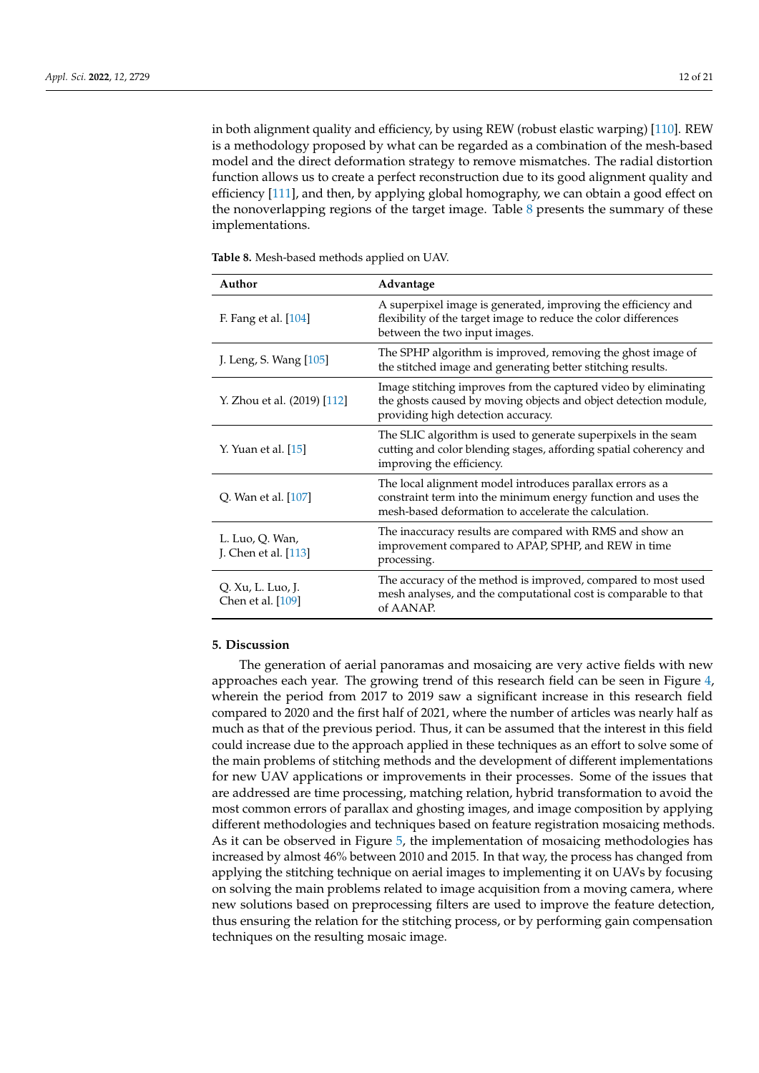in both alignment quality and efficiency, by using REW (robust elastic warping) [\[110\]](#page-20-10). REW is a methodology proposed by what can be regarded as a combination of the mesh-based model and the direct deformation strategy to remove mismatches. The radial distortion function allows us to create a perfect reconstruction due to its good alignment quality and efficiency [\[111\]](#page-20-11), and then, by applying global homography, we can obtain a good effect on the nonoverlapping regions of the target image. Table  $8$  presents the summary of these implementations.

<span id="page-11-0"></span>**Table 8.** Mesh-based methods applied on UAV.

| Author                                  | Advantage                                                                                                                                                                           |
|-----------------------------------------|-------------------------------------------------------------------------------------------------------------------------------------------------------------------------------------|
| F. Fang et al. [104]                    | A superpixel image is generated, improving the efficiency and<br>flexibility of the target image to reduce the color differences<br>between the two input images.                   |
| J. Leng, S. Wang [105]                  | The SPHP algorithm is improved, removing the ghost image of<br>the stitched image and generating better stitching results.                                                          |
| Y. Zhou et al. (2019) [112]             | Image stitching improves from the captured video by eliminating<br>the ghosts caused by moving objects and object detection module,<br>providing high detection accuracy.           |
| Y. Yuan et al. [15]                     | The SLIC algorithm is used to generate superpixels in the seam<br>cutting and color blending stages, affording spatial coherency and<br>improving the efficiency.                   |
| Q. Wan et al. [107]                     | The local alignment model introduces parallax errors as a<br>constraint term into the minimum energy function and uses the<br>mesh-based deformation to accelerate the calculation. |
| L. Luo, Q. Wan,<br>J. Chen et al. [113] | The inaccuracy results are compared with RMS and show an<br>improvement compared to APAP, SPHP, and REW in time<br>processing.                                                      |
| Q. Xu, L. Luo, J.<br>Chen et al. [109]  | The accuracy of the method is improved, compared to most used<br>mesh analyses, and the computational cost is comparable to that<br>of AANAP.                                       |

#### **5. Discussion**

The generation of aerial panoramas and mosaicing are very active fields with new approaches each year. The growing trend of this research field can be seen in Figure [4,](#page-12-0) wherein the period from 2017 to 2019 saw a significant increase in this research field compared to 2020 and the first half of 2021, where the number of articles was nearly half as much as that of the previous period. Thus, it can be assumed that the interest in this field could increase due to the approach applied in these techniques as an effort to solve some of the main problems of stitching methods and the development of different implementations for new UAV applications or improvements in their processes. Some of the issues that are addressed are time processing, matching relation, hybrid transformation to avoid the most common errors of parallax and ghosting images, and image composition by applying different methodologies and techniques based on feature registration mosaicing methods. As it can be observed in Figure [5,](#page-12-1) the implementation of mosaicing methodologies has increased by almost 46% between 2010 and 2015. In that way, the process has changed from applying the stitching technique on aerial images to implementing it on UAVs by focusing on solving the main problems related to image acquisition from a moving camera, where new solutions based on preprocessing filters are used to improve the feature detection, thus ensuring the relation for the stitching process, or by performing gain compensation techniques on the resulting mosaic image.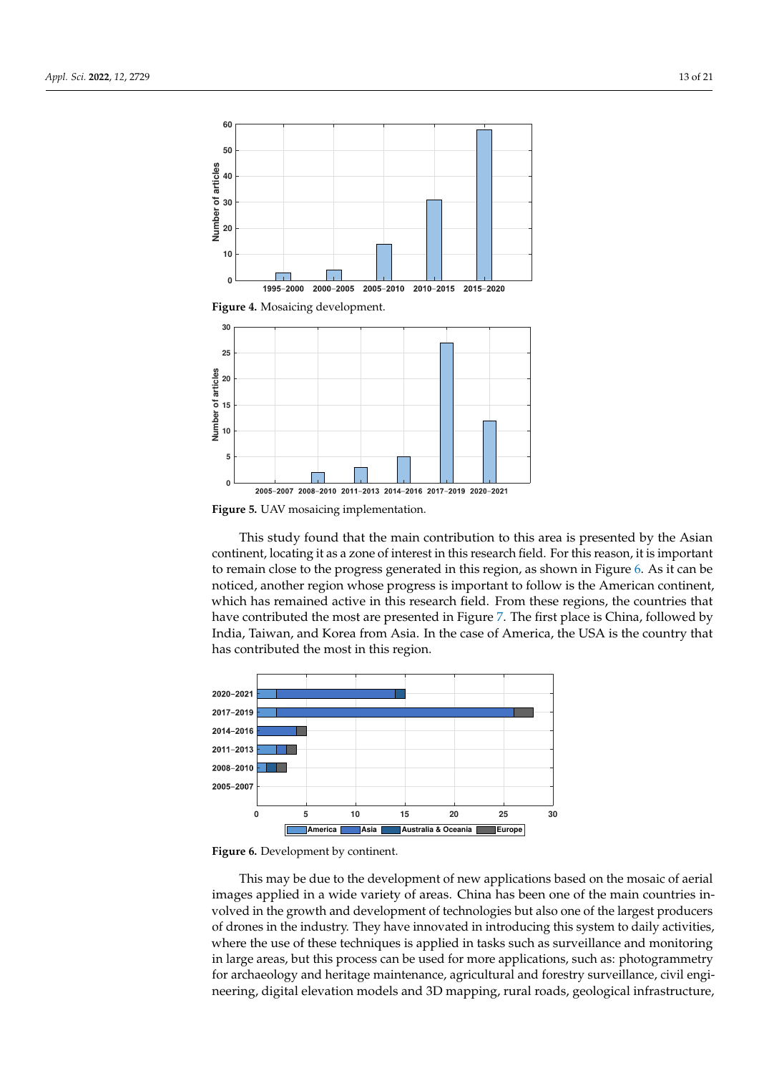<span id="page-12-0"></span>

<span id="page-12-1"></span>2005-2007 2008-2010 2011-2013 2014-2016 2017-2019 2020-2021 **Figure 5.** UAV mosaicing implementation.

This study found that the main contribution to this area is presented by the Asian continent, locating it as a zone of interest in this research field. For this reason, it is important to remain close to the progress generated in this region, as shown in Figure [6.](#page-12-2) As it can be noticed, another region whose progress is important to follow is the American continent, which has remained active in this research field. From these regions, the countries that have contributed the most are presented in Figure [7.](#page-13-0) The first place is China, followed by India, Taiwan, and Korea from Asia. In the case of America, the USA is the country that has contributed the most in this region.

<span id="page-12-2"></span>

**Figure 6.** Development by continent.

This may be due to the development of new applications based on the mosaic of aerial images applied in a wide variety of areas. China has been one of the main countries involved in the growth and development of technologies but also one of the largest producers of drones in the industry. They have innovated in introducing this system to daily activities, where the use of these techniques is applied in tasks such as surveillance and monitoring in large areas, but this process can be used for more applications, such as: photogrammetry for archaeology and heritage maintenance, agricultural and forestry surveillance, civil engineering, digital elevation models and 3D mapping, rural roads, geological infrastructure,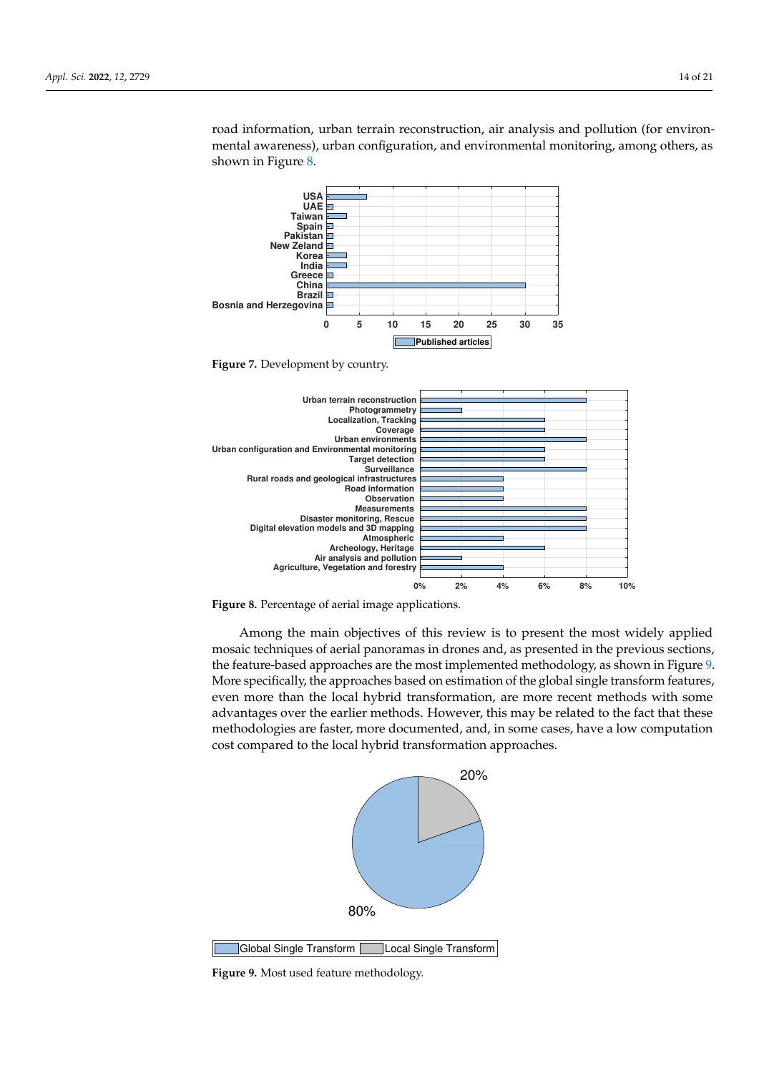<span id="page-13-0"></span>**0 5 10 15 20 25 30 35 Bosnia and Herzegovina Brazil China** Greece<sup>D</sup> **India Korea New Zeland Pakistan** Spain<sup>D</sup> **Taiwan UAE USA Published articles**

road information, urban terrain reconstruction, air analysis and pollution (for environmental awareness), urban configuration, and environmental monitoring, among others, as shown in Figure [8.](#page-13-1)

**Figure 7.** Development by country.

<span id="page-13-1"></span>



Among the main objectives of this review is to present the most widely applied mosaic techniques of aerial panoramas in drones and, as presented in the previous sections, the feature-based approaches are the most implemented methodology, as shown in Figure [9.](#page-13-2) More specifically, the approaches based on estimation of the global single transform features, even more than the local hybrid transformation, are more recent methods with some advantages over the earlier methods. However, this may be related to the fact that these methodologies are faster, more documented, and, in some cases, have a low computation cost compared to the local hybrid transformation approaches.

<span id="page-13-2"></span>

Global Single Transform Local Single Transform

**Figure 9.** Most used feature methodology.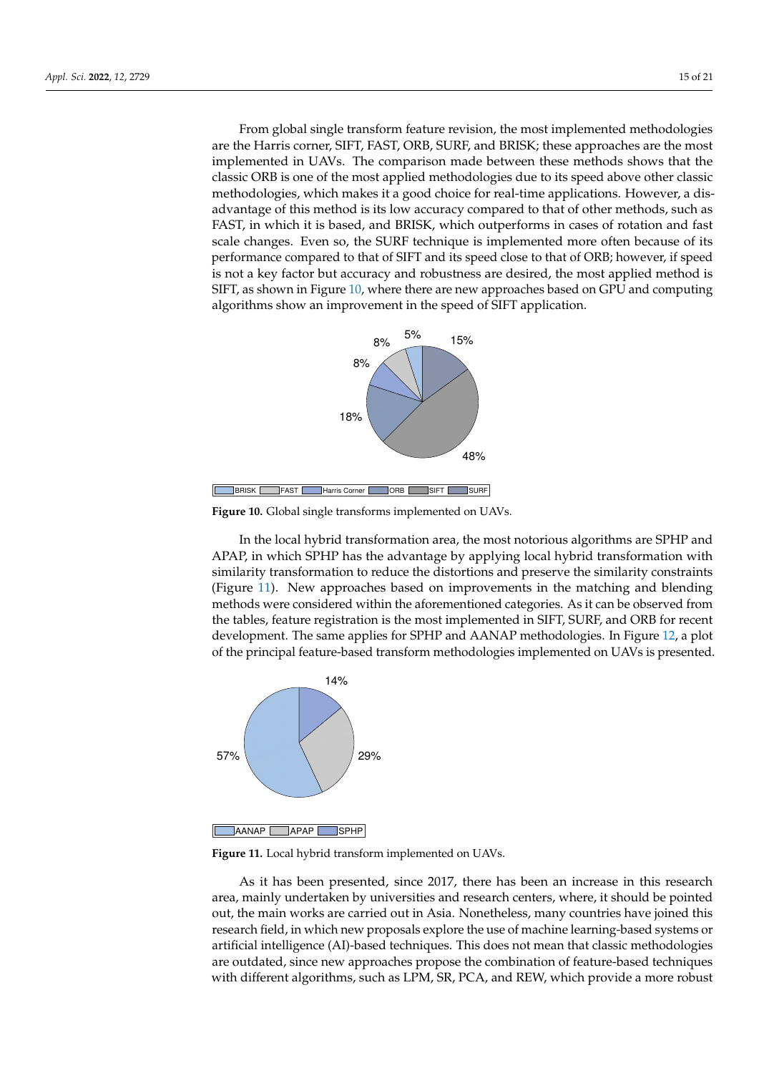From global single transform feature revision, the most implemented methodologies are the Harris corner, SIFT, FAST, ORB, SURF, and BRISK; these approaches are the most implemented in UAVs. The comparison made between these methods shows that the classic ORB is one of the most applied methodologies due to its speed above other classic methodologies, which makes it a good choice for real-time applications. However, a disadvantage of this method is its low accuracy compared to that of other methods, such as FAST, in which it is based, and BRISK, which outperforms in cases of rotation and fast scale changes. Even so, the SURF technique is implemented more often because of its performance compared to that of SIFT and its speed close to that of ORB; however, if speed is not a key factor but accuracy and robustness are desired, the most applied method is SIFT, as shown in Figure [10,](#page-14-0) where there are new approaches based on GPU and computing algorithms show an improvement in the speed of SIFT application.

<span id="page-14-0"></span>

**Figure 10.** Global single transforms implemented on UAVs.

In the local hybrid transformation area, the most notorious algorithms are SPHP and APAP, in which SPHP has the advantage by applying local hybrid transformation with similarity transformation to reduce the distortions and preserve the similarity constraints (Figure [11\)](#page-14-1). New approaches based on improvements in the matching and blending methods were considered within the aforementioned categories. As it can be observed from the tables, feature registration is the most implemented in SIFT, SURF, and ORB for recent development. The same applies for SPHP and AANAP methodologies. In Figure [12,](#page-15-4) a plot of the principal feature-based transform methodologies implemented on UAVs is presented.

<span id="page-14-1"></span>

**Figure 11.** Local hybrid transform implemented on UAVs.

As it has been presented, since 2017, there has been an increase in this research area, mainly undertaken by universities and research centers, where, it should be pointed out, the main works are carried out in Asia. Nonetheless, many countries have joined this research field, in which new proposals explore the use of machine learning-based systems or artificial intelligence (AI)-based techniques. This does not mean that classic methodologies are outdated, since new approaches propose the combination of feature-based techniques with different algorithms, such as LPM, SR, PCA, and REW, which provide a more robust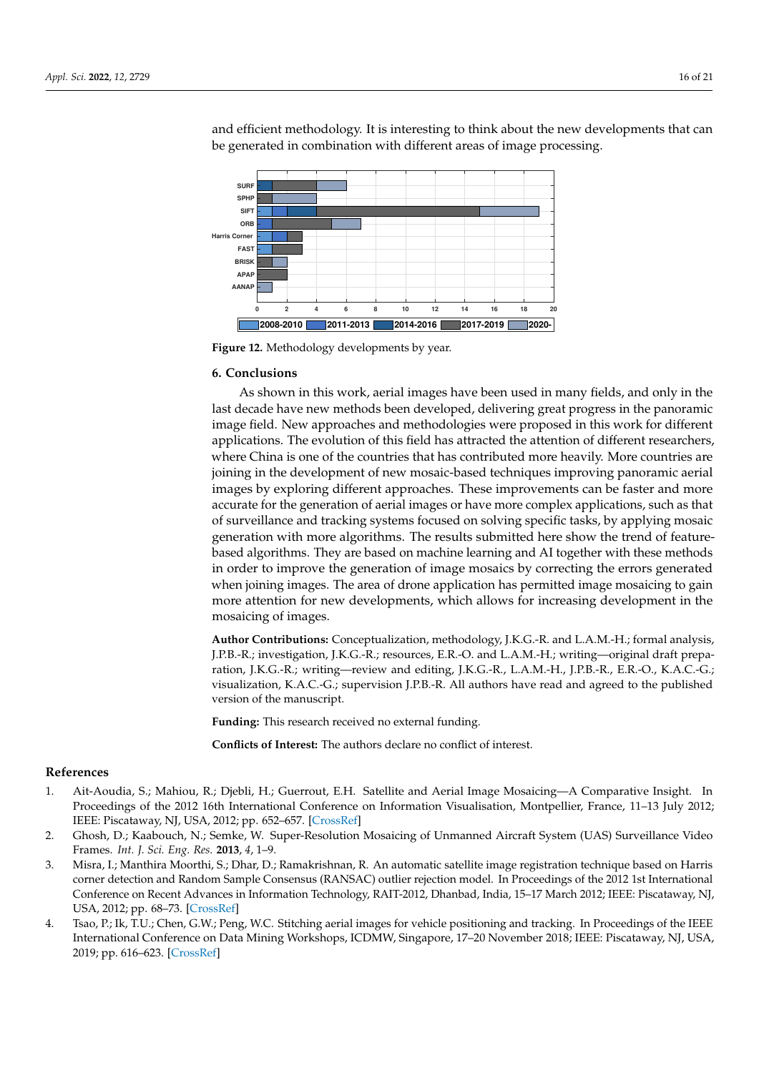<span id="page-15-4"></span>

and efficient methodology. It is interesting to think about the new developments that can be generated in combination with different areas of image processing.

**Figure 12.** Methodology developments by year.

#### **6. Conclusions**

As shown in this work, aerial images have been used in many fields, and only in the last decade have new methods been developed, delivering great progress in the panoramic image field. New approaches and methodologies were proposed in this work for different applications. The evolution of this field has attracted the attention of different researchers, where China is one of the countries that has contributed more heavily. More countries are joining in the development of new mosaic-based techniques improving panoramic aerial images by exploring different approaches. These improvements can be faster and more accurate for the generation of aerial images or have more complex applications, such as that of surveillance and tracking systems focused on solving specific tasks, by applying mosaic generation with more algorithms. The results submitted here show the trend of featurebased algorithms. They are based on machine learning and AI together with these methods in order to improve the generation of image mosaics by correcting the errors generated when joining images. The area of drone application has permitted image mosaicing to gain more attention for new developments, which allows for increasing development in the mosaicing of images.

**Author Contributions:** Conceptualization, methodology, J.K.G.-R. and L.A.M.-H.; formal analysis, J.P.B.-R.; investigation, J.K.G.-R.; resources, E.R.-O. and L.A.M.-H.; writing—original draft preparation, J.K.G.-R.; writing—review and editing, J.K.G.-R., L.A.M.-H., J.P.B.-R., E.R.-O., K.A.C.-G.; visualization, K.A.C.-G.; supervision J.P.B.-R. All authors have read and agreed to the published version of the manuscript.

**Funding:** This research received no external funding.

**Conflicts of Interest:** The authors declare no conflict of interest.

# **References**

- <span id="page-15-0"></span>1. Ait-Aoudia, S.; Mahiou, R.; Djebli, H.; Guerrout, E.H. Satellite and Aerial Image Mosaicing—A Comparative Insight. In Proceedings of the 2012 16th International Conference on Information Visualisation, Montpellier, France, 11–13 July 2012; IEEE: Piscataway, NJ, USA, 2012; pp. 652–657. [\[CrossRef\]](http://doi.org/10.1109/IV.2012.113)
- <span id="page-15-2"></span>2. Ghosh, D.; Kaabouch, N.; Semke, W. Super-Resolution Mosaicing of Unmanned Aircraft System (UAS) Surveillance Video Frames. *Int. J. Sci. Eng. Res.* **2013**, *4*, 1–9.
- <span id="page-15-1"></span>3. Misra, I.; Manthira Moorthi, S.; Dhar, D.; Ramakrishnan, R. An automatic satellite image registration technique based on Harris corner detection and Random Sample Consensus (RANSAC) outlier rejection model. In Proceedings of the 2012 1st International Conference on Recent Advances in Information Technology, RAIT-2012, Dhanbad, India, 15–17 March 2012; IEEE: Piscataway, NJ, USA, 2012; pp. 68–73. [\[CrossRef\]](http://dx.doi.org/10.1109/RAIT.2012.6194482)
- <span id="page-15-3"></span>4. Tsao, P.; Ik, T.U.; Chen, G.W.; Peng, W.C. Stitching aerial images for vehicle positioning and tracking. In Proceedings of the IEEE International Conference on Data Mining Workshops, ICDMW, Singapore, 17–20 November 2018; IEEE: Piscataway, NJ, USA, 2019; pp. 616–623. [\[CrossRef\]](http://dx.doi.org/10.1109/ICDMW.2018.00096)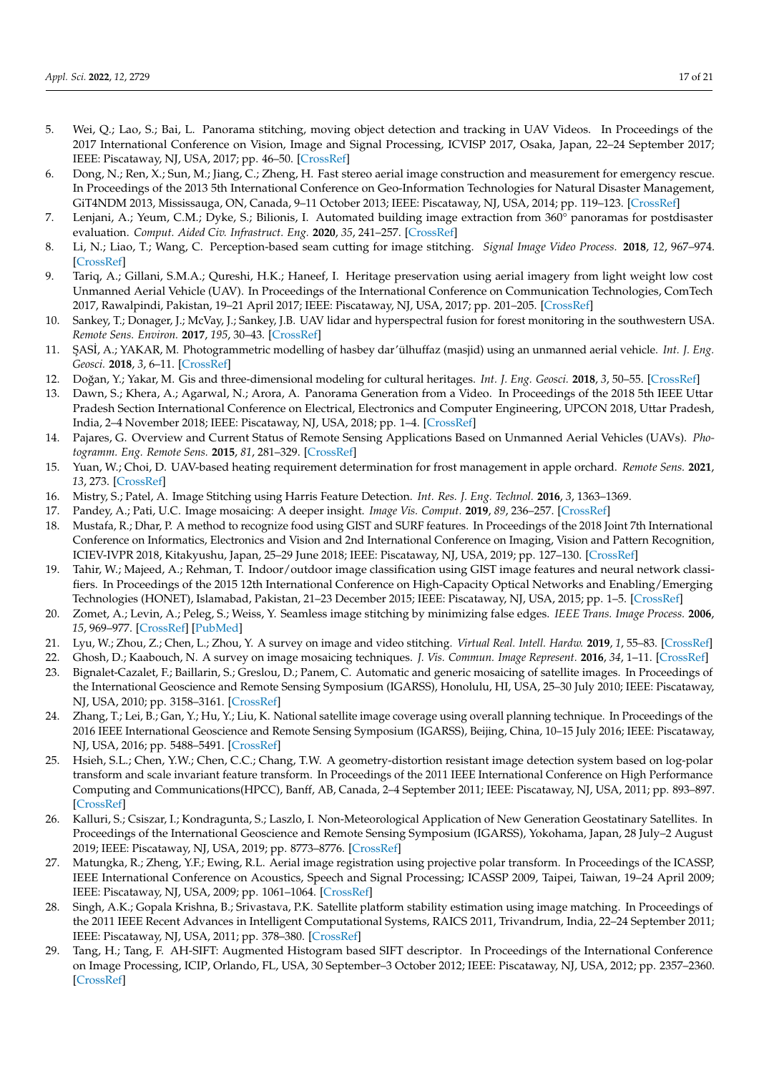- <span id="page-16-0"></span>5. Wei, Q.; Lao, S.; Bai, L. Panorama stitching, moving object detection and tracking in UAV Videos. In Proceedings of the 2017 International Conference on Vision, Image and Signal Processing, ICVISP 2017, Osaka, Japan, 22–24 September 2017; IEEE: Piscataway, NJ, USA, 2017; pp. 46–50. [\[CrossRef\]](http://dx.doi.org/10.1109/ICVISP.2017.13)
- <span id="page-16-1"></span>6. Dong, N.; Ren, X.; Sun, M.; Jiang, C.; Zheng, H. Fast stereo aerial image construction and measurement for emergency rescue. In Proceedings of the 2013 5th International Conference on Geo-Information Technologies for Natural Disaster Management, GiT4NDM 2013, Mississauga, ON, Canada, 9–11 October 2013; IEEE: Piscataway, NJ, USA, 2014; pp. 119–123. [\[CrossRef\]](http://dx.doi.org/10.1109/GIT4NDM.2013.16)
- <span id="page-16-2"></span>7. Lenjani, A.; Yeum, C.M.; Dyke, S.; Bilionis, I. Automated building image extraction from 360° panoramas for postdisaster evaluation. *Comput. Aided Civ. Infrastruct. Eng.* **2020**, *35*, 241–257. [\[CrossRef\]](http://dx.doi.org/10.1111/mice.12493)
- <span id="page-16-3"></span>8. Li, N.; Liao, T.; Wang, C. Perception-based seam cutting for image stitching. *Signal Image Video Process.* **2018**, *12*, 967–974. [\[CrossRef\]](http://dx.doi.org/10.1007/s11760-018-1241-9)
- <span id="page-16-4"></span>9. Tariq, A.; Gillani, S.M.A.; Qureshi, H.K.; Haneef, I. Heritage preservation using aerial imagery from light weight low cost Unmanned Aerial Vehicle (UAV). In Proceedings of the International Conference on Communication Technologies, ComTech 2017, Rawalpindi, Pakistan, 19–21 April 2017; IEEE: Piscataway, NJ, USA, 2017; pp. 201–205. [\[CrossRef\]](http://dx.doi.org/10.1109/COMTECH.2017.8065774)
- <span id="page-16-5"></span>10. Sankey, T.; Donager, J.; McVay, J.; Sankey, J.B. UAV lidar and hyperspectral fusion for forest monitoring in the southwestern USA. *Remote Sens. Environ.* **2017**, *195*, 30–43. [\[CrossRef\]](http://dx.doi.org/10.1016/j.rse.2017.04.007)
- 11. ¸SAS˙I, A.; YAKAR, M. Photogrammetric modelling of hasbey dar'ülhuffaz (masjid) using an unmanned aerial vehicle. *Int. J. Eng. Geosci.* **2018**, *3*, 6–11. [\[CrossRef\]](http://dx.doi.org/10.26833/ijeg.328919)
- <span id="page-16-6"></span>12. Doğan, Y.; Yakar, M. Gis and three-dimensional modeling for cultural heritages. *Int. J. Eng. Geosci.* 2018, 3, 50–55. [\[CrossRef\]](http://dx.doi.org/10.26833/ijeg.378257)
- <span id="page-16-7"></span>13. Dawn, S.; Khera, A.; Agarwal, N.; Arora, A. Panorama Generation from a Video. In Proceedings of the 2018 5th IEEE Uttar Pradesh Section International Conference on Electrical, Electronics and Computer Engineering, UPCON 2018, Uttar Pradesh, India, 2–4 November 2018; IEEE: Piscataway, NJ, USA, 2018; pp. 1–4. [\[CrossRef\]](http://dx.doi.org/10.1109/UPCON.2018.8597171)
- 14. Pajares, G. Overview and Current Status of Remote Sensing Applications Based on Unmanned Aerial Vehicles (UAVs). *Photogramm. Eng. Remote Sens.* **2015**, *81*, 281–329. [\[CrossRef\]](http://dx.doi.org/10.14358/PERS.81.4.281)
- <span id="page-16-8"></span>15. Yuan, W.; Choi, D. UAV-based heating requirement determination for frost management in apple orchard. *Remote Sens.* **2021**, *13*, 273. [\[CrossRef\]](http://dx.doi.org/10.3390/rs13020273)
- <span id="page-16-9"></span>16. Mistry, S.; Patel, A. Image Stitching using Harris Feature Detection. *Int. Res. J. Eng. Technol.* **2016**, *3*, 1363–1369.
- <span id="page-16-10"></span>17. Pandey, A.; Pati, U.C. Image mosaicing: A deeper insight. *Image Vis. Comput.* **2019**, *89*, 236–257. [\[CrossRef\]](http://dx.doi.org/10.1016/j.imavis.2019.07.002)
- <span id="page-16-11"></span>18. Mustafa, R.; Dhar, P. A method to recognize food using GIST and SURF features. In Proceedings of the 2018 Joint 7th International Conference on Informatics, Electronics and Vision and 2nd International Conference on Imaging, Vision and Pattern Recognition, ICIEV-IVPR 2018, Kitakyushu, Japan, 25–29 June 2018; IEEE: Piscataway, NJ, USA, 2019; pp. 127–130. [\[CrossRef\]](http://dx.doi.org/10.1109/ICIEV.2018.8641072)
- 19. Tahir, W.; Majeed, A.; Rehman, T. Indoor/outdoor image classification using GIST image features and neural network classifiers. In Proceedings of the 2015 12th International Conference on High-Capacity Optical Networks and Enabling/Emerging Technologies (HONET), Islamabad, Pakistan, 21–23 December 2015; IEEE: Piscataway, NJ, USA, 2015; pp. 1–5. [\[CrossRef\]](http://dx.doi.org/10.1109/HONET.2015.7395428)
- <span id="page-16-12"></span>20. Zomet, A.; Levin, A.; Peleg, S.; Weiss, Y. Seamless image stitching by minimizing false edges. *IEEE Trans. Image Process.* **2006**, *15*, 969–977. [\[CrossRef\]](http://dx.doi.org/10.1109/TIP.2005.863958) [\[PubMed\]](http://www.ncbi.nlm.nih.gov/pubmed/16579382)
- <span id="page-16-13"></span>21. Lyu, W.; Zhou, Z.; Chen, L.; Zhou, Y. A survey on image and video stitching. *Virtual Real. Intell. Hardw.* **2019**, *1*, 55–83. [\[CrossRef\]](http://dx.doi.org/10.3724/SP.J.2096-5796.2018.0008)
- <span id="page-16-14"></span>22. Ghosh, D.; Kaabouch, N. A survey on image mosaicing techniques. *J. Vis. Commun. Image Represent.* **2016**, *34*, 1–11. [\[CrossRef\]](http://dx.doi.org/10.1016/j.jvcir.2015.10.014)
- <span id="page-16-15"></span>23. Bignalet-Cazalet, F.; Baillarin, S.; Greslou, D.; Panem, C. Automatic and generic mosaicing of satellite images. In Proceedings of the International Geoscience and Remote Sensing Symposium (IGARSS), Honolulu, HI, USA, 25–30 July 2010; IEEE: Piscataway, NJ, USA, 2010; pp. 3158–3161. [\[CrossRef\]](http://dx.doi.org/10.1109/IGARSS.2010.5650102)
- <span id="page-16-16"></span>24. Zhang, T.; Lei, B.; Gan, Y.; Hu, Y.; Liu, K. National satellite image coverage using overall planning technique. In Proceedings of the 2016 IEEE International Geoscience and Remote Sensing Symposium (IGARSS), Beijing, China, 10–15 July 2016; IEEE: Piscataway, NJ, USA, 2016; pp. 5488–5491. [\[CrossRef\]](http://dx.doi.org/10.1109/IGARSS.2016.7730430)
- <span id="page-16-17"></span>25. Hsieh, S.L.; Chen, Y.W.; Chen, C.C.; Chang, T.W. A geometry-distortion resistant image detection system based on log-polar transform and scale invariant feature transform. In Proceedings of the 2011 IEEE International Conference on High Performance Computing and Communications(HPCC), Banff, AB, Canada, 2–4 September 2011; IEEE: Piscataway, NJ, USA, 2011; pp. 893–897. [\[CrossRef\]](http://dx.doi.org/10.1109/HPCC.2011.128)
- 26. Kalluri, S.; Csiszar, I.; Kondragunta, S.; Laszlo, I. Non-Meteorological Application of New Generation Geostatinary Satellites. In Proceedings of the International Geoscience and Remote Sensing Symposium (IGARSS), Yokohama, Japan, 28 July–2 August 2019; IEEE: Piscataway, NJ, USA, 2019; pp. 8773–8776. [\[CrossRef\]](http://dx.doi.org/10.1109/IGARSS.2019.8898315)
- 27. Matungka, R.; Zheng, Y.F.; Ewing, R.L. Aerial image registration using projective polar transform. In Proceedings of the ICASSP, IEEE International Conference on Acoustics, Speech and Signal Processing; ICASSP 2009, Taipei, Taiwan, 19–24 April 2009; IEEE: Piscataway, NJ, USA, 2009; pp. 1061–1064. [\[CrossRef\]](http://dx.doi.org/10.1109/ICASSP.2009.4959770)
- 28. Singh, A.K.; Gopala Krishna, B.; Srivastava, P.K. Satellite platform stability estimation using image matching. In Proceedings of the 2011 IEEE Recent Advances in Intelligent Computational Systems, RAICS 2011, Trivandrum, India, 22–24 September 2011; IEEE: Piscataway, NJ, USA, 2011; pp. 378–380. [\[CrossRef\]](http://dx.doi.org/10.1109/RAICS.2011.6069338)
- <span id="page-16-18"></span>29. Tang, H.; Tang, F. AH-SIFT: Augmented Histogram based SIFT descriptor. In Proceedings of the International Conference on Image Processing, ICIP, Orlando, FL, USA, 30 September–3 October 2012; IEEE: Piscataway, NJ, USA, 2012; pp. 2357–2360. [\[CrossRef\]](http://dx.doi.org/10.1109/ICIP.2012.6467370)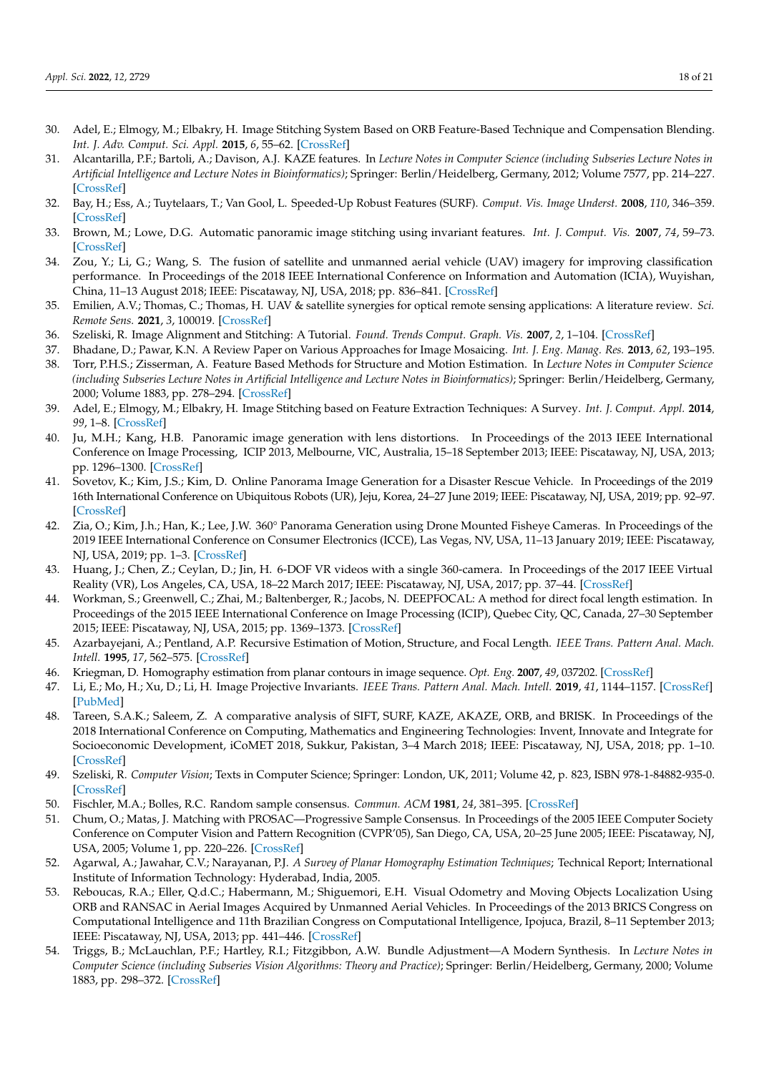- <span id="page-17-0"></span>30. Adel, E.; Elmogy, M.; Elbakry, H. Image Stitching System Based on ORB Feature-Based Technique and Compensation Blending. *Int. J. Adv. Comput. Sci. Appl.* **2015**, *6*, 55–62. [\[CrossRef\]](http://dx.doi.org/10.14569/IJACSA.2015.060907)
- 31. Alcantarilla, P.F.; Bartoli, A.; Davison, A.J. KAZE features. In *Lecture Notes in Computer Science (including Subseries Lecture Notes in Artificial Intelligence and Lecture Notes in Bioinformatics)*; Springer: Berlin/Heidelberg, Germany, 2012; Volume 7577, pp. 214–227. [\[CrossRef\]](http://dx.doi.org/10.1007/978-3-642-33783-3_16)
- <span id="page-17-21"></span>32. Bay, H.; Ess, A.; Tuytelaars, T.; Van Gool, L. Speeded-Up Robust Features (SURF). *Comput. Vis. Image Underst.* **2008**, *110*, 346–359. [\[CrossRef\]](http://dx.doi.org/10.1016/j.cviu.2007.09.014)
- <span id="page-17-1"></span>33. Brown, M.; Lowe, D.G. Automatic panoramic image stitching using invariant features. *Int. J. Comput. Vis.* **2007**, *74*, 59–73. [\[CrossRef\]](http://dx.doi.org/10.1007/s11263-006-0002-3)
- <span id="page-17-2"></span>34. Zou, Y.; Li, G.; Wang, S. The fusion of satellite and unmanned aerial vehicle (UAV) imagery for improving classification performance. In Proceedings of the 2018 IEEE International Conference on Information and Automation (ICIA), Wuyishan, China, 11–13 August 2018; IEEE: Piscataway, NJ, USA, 2018; pp. 836–841. [\[CrossRef\]](http://dx.doi.org/10.1109/ICInfA.2018.8812312)
- <span id="page-17-3"></span>35. Emilien, A.V.; Thomas, C.; Thomas, H. UAV & satellite synergies for optical remote sensing applications: A literature review. *Sci. Remote Sens.* **2021**, *3*, 100019. [\[CrossRef\]](http://dx.doi.org/10.1016/j.srs.2021.100019)
- <span id="page-17-4"></span>36. Szeliski, R. Image Alignment and Stitching: A Tutorial. *Found. Trends Comput. Graph. Vis.* **2007**, *2*, 1–104. [\[CrossRef\]](http://dx.doi.org/10.1561/0600000009)
- <span id="page-17-5"></span>37. Bhadane, D.; Pawar, K.N. A Review Paper on Various Approaches for Image Mosaicing. *Int. J. Eng. Manag. Res.* **2013**, *62*, 193–195.
- <span id="page-17-6"></span>38. Torr, P.H.S.; Zisserman, A. Feature Based Methods for Structure and Motion Estimation. In *Lecture Notes in Computer Science (including Subseries Lecture Notes in Artificial Intelligence and Lecture Notes in Bioinformatics)*; Springer: Berlin/Heidelberg, Germany, 2000; Volume 1883, pp. 278–294. [\[CrossRef\]](http://dx.doi.org/10.1007/3-540-44480-7_19)
- <span id="page-17-7"></span>39. Adel, E.; Elmogy, M.; Elbakry, H. Image Stitching based on Feature Extraction Techniques: A Survey. *Int. J. Comput. Appl.* **2014**, *99*, 1–8. [\[CrossRef\]](http://dx.doi.org/10.5120/17374-7818)
- <span id="page-17-8"></span>40. Ju, M.H.; Kang, H.B. Panoramic image generation with lens distortions. In Proceedings of the 2013 IEEE International Conference on Image Processing, ICIP 2013, Melbourne, VIC, Australia, 15–18 September 2013; IEEE: Piscataway, NJ, USA, 2013; pp. 1296–1300. [\[CrossRef\]](http://dx.doi.org/10.1109/ICIP.2013.6738267)
- <span id="page-17-22"></span>41. Sovetov, K.; Kim, J.S.; Kim, D. Online Panorama Image Generation for a Disaster Rescue Vehicle. In Proceedings of the 2019 16th International Conference on Ubiquitous Robots (UR), Jeju, Korea, 24–27 June 2019; IEEE: Piscataway, NJ, USA, 2019; pp. 92–97. [\[CrossRef\]](http://dx.doi.org/10.1109/URAI.2019.8768497)
- <span id="page-17-9"></span>42. Zia, O.; Kim, J.h.; Han, K.; Lee, J.W. 360° Panorama Generation using Drone Mounted Fisheye Cameras. In Proceedings of the 2019 IEEE International Conference on Consumer Electronics (ICCE), Las Vegas, NV, USA, 11–13 January 2019; IEEE: Piscataway, NJ, USA, 2019; pp. 1–3. [\[CrossRef\]](http://dx.doi.org/10.1109/ICCE.2019.8661954)
- <span id="page-17-10"></span>43. Huang, J.; Chen, Z.; Ceylan, D.; Jin, H. 6-DOF VR videos with a single 360-camera. In Proceedings of the 2017 IEEE Virtual Reality (VR), Los Angeles, CA, USA, 18–22 March 2017; IEEE: Piscataway, NJ, USA, 2017; pp. 37–44. [\[CrossRef\]](http://dx.doi.org/10.1109/VR.2017.7892229)
- <span id="page-17-11"></span>44. Workman, S.; Greenwell, C.; Zhai, M.; Baltenberger, R.; Jacobs, N. DEEPFOCAL: A method for direct focal length estimation. In Proceedings of the 2015 IEEE International Conference on Image Processing (ICIP), Quebec City, QC, Canada, 27–30 September 2015; IEEE: Piscataway, NJ, USA, 2015; pp. 1369–1373. [\[CrossRef\]](http://dx.doi.org/10.1109/ICIP.2015.7351024)
- <span id="page-17-12"></span>45. Azarbayejani, A.; Pentland, A.P. Recursive Estimation of Motion, Structure, and Focal Length. *IEEE Trans. Pattern Anal. Mach. Intell.* **1995**, *17*, 562–575. [\[CrossRef\]](http://dx.doi.org/10.1109/34.387503)
- <span id="page-17-13"></span>46. Kriegman, D. Homography estimation from planar contours in image sequence. *Opt. Eng.* **2007**, *49*, 037202. [\[CrossRef\]](http://dx.doi.org/10.1117/ 1.3364071)
- <span id="page-17-14"></span>47. Li, E.; Mo, H.; Xu, D.; Li, H. Image Projective Invariants. *IEEE Trans. Pattern Anal. Mach. Intell.* **2019**, *41*, 1144–1157. [\[CrossRef\]](http://dx.doi.org/10.1109/TPAMI.2018.2832060) [\[PubMed\]](http://www.ncbi.nlm.nih.gov/pubmed/29994044)
- 48. Tareen, S.A.K.; Saleem, Z. A comparative analysis of SIFT, SURF, KAZE, AKAZE, ORB, and BRISK. In Proceedings of the 2018 International Conference on Computing, Mathematics and Engineering Technologies: Invent, Innovate and Integrate for Socioeconomic Development, iCoMET 2018, Sukkur, Pakistan, 3–4 March 2018; IEEE: Piscataway, NJ, USA, 2018; pp. 1–10. [\[CrossRef\]](http://dx.doi.org/10.1109/ICOMET.2018.8346440)
- <span id="page-17-15"></span>49. Szeliski, R. *Computer Vision*; Texts in Computer Science; Springer: London, UK, 2011; Volume 42, p. 823, ISBN 978-1-84882-935-0. [\[CrossRef\]](http://dx.doi.org/10.1007/ 978-1-84882-935-0)
- <span id="page-17-16"></span>50. Fischler, M.A.; Bolles, R.C. Random sample consensus. *Commun. ACM* **1981**, *24*, 381–395. [\[CrossRef\]](http://dx.doi.org/10.1145/358669.358692)
- <span id="page-17-17"></span>51. Chum, O.; Matas, J. Matching with PROSAC—Progressive Sample Consensus. In Proceedings of the 2005 IEEE Computer Society Conference on Computer Vision and Pattern Recognition (CVPR'05), San Diego, CA, USA, 20–25 June 2005; IEEE: Piscataway, NJ, USA, 2005; Volume 1, pp. 220–226. [\[CrossRef\]](http://dx.doi.org/10.1109/CVPR.2005.221)
- <span id="page-17-18"></span>52. Agarwal, A.; Jawahar, C.V.; Narayanan, P.J. *A Survey of Planar Homography Estimation Techniques*; Technical Report; International Institute of Information Technology: Hyderabad, India, 2005.
- <span id="page-17-19"></span>53. Reboucas, R.A.; Eller, Q.d.C.; Habermann, M.; Shiguemori, E.H. Visual Odometry and Moving Objects Localization Using ORB and RANSAC in Aerial Images Acquired by Unmanned Aerial Vehicles. In Proceedings of the 2013 BRICS Congress on Computational Intelligence and 11th Brazilian Congress on Computational Intelligence, Ipojuca, Brazil, 8–11 September 2013; IEEE: Piscataway, NJ, USA, 2013; pp. 441–446. [\[CrossRef\]](http://dx.doi.org/10.1109/BRICS-CCI-CBIC.2013.79)
- <span id="page-17-20"></span>54. Triggs, B.; McLauchlan, P.F.; Hartley, R.I.; Fitzgibbon, A.W. Bundle Adjustment—A Modern Synthesis. In *Lecture Notes in Computer Science (including Subseries Vision Algorithms: Theory and Practice)*; Springer: Berlin/Heidelberg, Germany, 2000; Volume 1883, pp. 298–372. [\[CrossRef\]](http://dx.doi.org/10.1007/3-540-44480-7_21)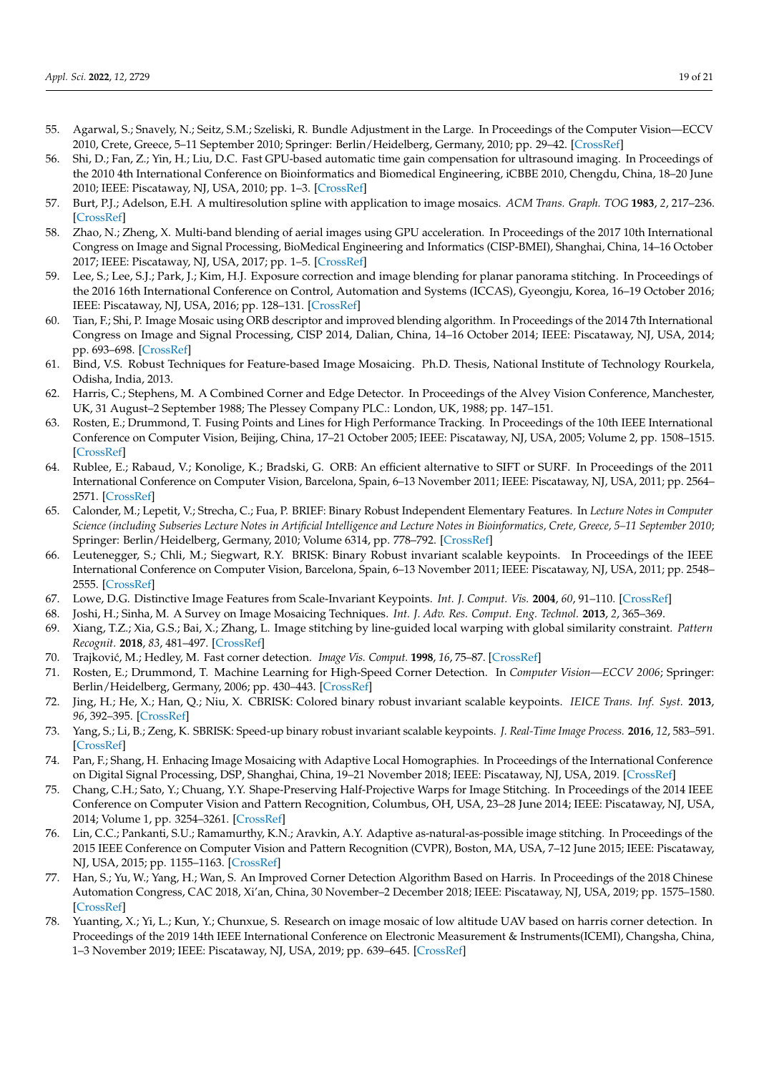- <span id="page-18-0"></span>55. Agarwal, S.; Snavely, N.; Seitz, S.M.; Szeliski, R. Bundle Adjustment in the Large. In Proceedings of the Computer Vision—ECCV 2010, Crete, Greece, 5–11 September 2010; Springer: Berlin/Heidelberg, Germany, 2010; pp. 29–42. [\[CrossRef\]](http://dx.doi.org/10.1007/978-3-642-15552-9_3)
- <span id="page-18-1"></span>56. Shi, D.; Fan, Z.; Yin, H.; Liu, D.C. Fast GPU-based automatic time gain compensation for ultrasound imaging. In Proceedings of the 2010 4th International Conference on Bioinformatics and Biomedical Engineering, iCBBE 2010, Chengdu, China, 18–20 June 2010; IEEE: Piscataway, NJ, USA, 2010; pp. 1–3. [\[CrossRef\]](http://dx.doi.org/10.1109/ICBBE.2010.5516870)
- <span id="page-18-2"></span>57. Burt, P.J.; Adelson, E.H. A multiresolution spline with application to image mosaics. *ACM Trans. Graph. TOG* **1983**, *2*, 217–236. [\[CrossRef\]](http://dx.doi.org/10.1145/245.247)
- <span id="page-18-3"></span>58. Zhao, N.; Zheng, X. Multi-band blending of aerial images using GPU acceleration. In Proceedings of the 2017 10th International Congress on Image and Signal Processing, BioMedical Engineering and Informatics (CISP-BMEI), Shanghai, China, 14–16 October 2017; IEEE: Piscataway, NJ, USA, 2017; pp. 1–5. [\[CrossRef\]](http://dx.doi.org/10.1109/CISP-BMEI.2017.8302068)
- <span id="page-18-4"></span>59. Lee, S.; Lee, S.J.; Park, J.; Kim, H.J. Exposure correction and image blending for planar panorama stitching. In Proceedings of the 2016 16th International Conference on Control, Automation and Systems (ICCAS), Gyeongju, Korea, 16–19 October 2016; IEEE: Piscataway, NJ, USA, 2016; pp. 128–131. [\[CrossRef\]](http://dx.doi.org/10.1109/ICCAS.2016.7832309)
- <span id="page-18-5"></span>60. Tian, F.; Shi, P. Image Mosaic using ORB descriptor and improved blending algorithm. In Proceedings of the 2014 7th International Congress on Image and Signal Processing, CISP 2014, Dalian, China, 14–16 October 2014; IEEE: Piscataway, NJ, USA, 2014; pp. 693–698. [\[CrossRef\]](http://dx.doi.org/10.1109/CISP.2014.7003867)
- <span id="page-18-6"></span>61. Bind, V.S. Robust Techniques for Feature-based Image Mosaicing. Ph.D. Thesis, National Institute of Technology Rourkela, Odisha, India, 2013.
- <span id="page-18-7"></span>62. Harris, C.; Stephens, M. A Combined Corner and Edge Detector. In Proceedings of the Alvey Vision Conference, Manchester, UK, 31 August–2 September 1988; The Plessey Company PLC.: London, UK, 1988; pp. 147–151.
- <span id="page-18-8"></span>63. Rosten, E.; Drummond, T. Fusing Points and Lines for High Performance Tracking. In Proceedings of the 10th IEEE International Conference on Computer Vision, Beijing, China, 17–21 October 2005; IEEE: Piscataway, NJ, USA, 2005; Volume 2, pp. 1508–1515. [\[CrossRef\]](http://dx.doi.org/10.1109/ICCV.2005.104)
- <span id="page-18-9"></span>64. Rublee, E.; Rabaud, V.; Konolige, K.; Bradski, G. ORB: An efficient alternative to SIFT or SURF. In Proceedings of the 2011 International Conference on Computer Vision, Barcelona, Spain, 6–13 November 2011; IEEE: Piscataway, NJ, USA, 2011; pp. 2564– 2571. [\[CrossRef\]](http://dx.doi.org/10.1109/ICCV.2011.6126544)
- <span id="page-18-10"></span>65. Calonder, M.; Lepetit, V.; Strecha, C.; Fua, P. BRIEF: Binary Robust Independent Elementary Features. In *Lecture Notes in Computer Science (including Subseries Lecture Notes in Artificial Intelligence and Lecture Notes in Bioinformatics, Crete, Greece, 5–11 September 2010*; Springer: Berlin/Heidelberg, Germany, 2010; Volume 6314, pp. 778–792. [\[CrossRef\]](http://dx.doi.org/10.1007/978-3-642-15561-1_56)
- <span id="page-18-11"></span>66. Leutenegger, S.; Chli, M.; Siegwart, R.Y. BRISK: Binary Robust invariant scalable keypoints. In Proceedings of the IEEE International Conference on Computer Vision, Barcelona, Spain, 6–13 November 2011; IEEE: Piscataway, NJ, USA, 2011; pp. 2548– 2555. [\[CrossRef\]](http://dx.doi.org/10.1109/ICCV.2011.6126542)
- <span id="page-18-12"></span>67. Lowe, D.G. Distinctive Image Features from Scale-Invariant Keypoints. *Int. J. Comput. Vis.* **2004**, *60*, 91–110. [\[CrossRef\]](http://dx.doi.org/10.1023/B:VISI.0000029664.99615.94)
- <span id="page-18-13"></span>68. Joshi, H.; Sinha, M. A Survey on Image Mosaicing Techniques. *Int. J. Adv. Res. Comput. Eng. Technol.* **2013**, *2*, 365–369.
- <span id="page-18-14"></span>69. Xiang, T.Z.; Xia, G.S.; Bai, X.; Zhang, L. Image stitching by line-guided local warping with global similarity constraint. *Pattern Recognit.* **2018**, *83*, 481–497. [\[CrossRef\]](http://dx.doi.org/10.1016/j.patcog.2018.06.013)
- <span id="page-18-15"></span>70. Trajkovi´c, M.; Hedley, M. Fast corner detection. *Image Vis. Comput.* **1998**, *16*, 75–87. [\[CrossRef\]](http://dx.doi.org/10.1016/S0262-8856(97)00056-5)
- <span id="page-18-16"></span>71. Rosten, E.; Drummond, T. Machine Learning for High-Speed Corner Detection. In *Computer Vision—ECCV 2006*; Springer: Berlin/Heidelberg, Germany, 2006; pp. 430–443. [\[CrossRef\]](http://dx.doi.org/10.1007/11744023_34)
- <span id="page-18-17"></span>72. Jing, H.; He, X.; Han, Q.; Niu, X. CBRISK: Colored binary robust invariant scalable keypoints. *IEICE Trans. Inf. Syst.* **2013**, *96*, 392–395. [\[CrossRef\]](http://dx.doi.org/10.1587/transinf.E96.D.392)
- <span id="page-18-18"></span>73. Yang, S.; Li, B.; Zeng, K. SBRISK: Speed-up binary robust invariant scalable keypoints. *J. Real-Time Image Process.* **2016**, *12*, 583–591. [\[CrossRef\]](http://dx.doi.org/10.1007/s11554-014-0434-x)
- <span id="page-18-19"></span>74. Pan, F.; Shang, H. Enhacing Image Mosaicing with Adaptive Local Homographies. In Proceedings of the International Conference on Digital Signal Processing, DSP, Shanghai, China, 19–21 November 2018; IEEE: Piscataway, NJ, USA, 2019. [\[CrossRef\]](http://dx.doi.org/10.1109/ICDSP.2018.8631702)
- <span id="page-18-20"></span>75. Chang, C.H.; Sato, Y.; Chuang, Y.Y. Shape-Preserving Half-Projective Warps for Image Stitching. In Proceedings of the 2014 IEEE Conference on Computer Vision and Pattern Recognition, Columbus, OH, USA, 23–28 June 2014; IEEE: Piscataway, NJ, USA, 2014; Volume 1, pp. 3254–3261. [\[CrossRef\]](http://dx.doi.org/10.1109/CVPR.2014.422)
- <span id="page-18-21"></span>76. Lin, C.C.; Pankanti, S.U.; Ramamurthy, K.N.; Aravkin, A.Y. Adaptive as-natural-as-possible image stitching. In Proceedings of the 2015 IEEE Conference on Computer Vision and Pattern Recognition (CVPR), Boston, MA, USA, 7–12 June 2015; IEEE: Piscataway, NJ, USA, 2015; pp. 1155–1163. [\[CrossRef\]](http://dx.doi.org/10.1109/CVPR.2015.7298719)
- <span id="page-18-22"></span>77. Han, S.; Yu, W.; Yang, H.; Wan, S. An Improved Corner Detection Algorithm Based on Harris. In Proceedings of the 2018 Chinese Automation Congress, CAC 2018, Xi'an, China, 30 November–2 December 2018; IEEE: Piscataway, NJ, USA, 2019; pp. 1575–1580. [\[CrossRef\]](http://dx.doi.org/10.1109/CAC.2018.8623814)
- <span id="page-18-23"></span>78. Yuanting, X.; Yi, L.; Kun, Y.; Chunxue, S. Research on image mosaic of low altitude UAV based on harris corner detection. In Proceedings of the 2019 14th IEEE International Conference on Electronic Measurement & Instruments(ICEMI), Changsha, China, 1–3 November 2019; IEEE: Piscataway, NJ, USA, 2019; pp. 639–645. [\[CrossRef\]](http://dx.doi.org/10.1109/ICEMI46757.2019.9101711)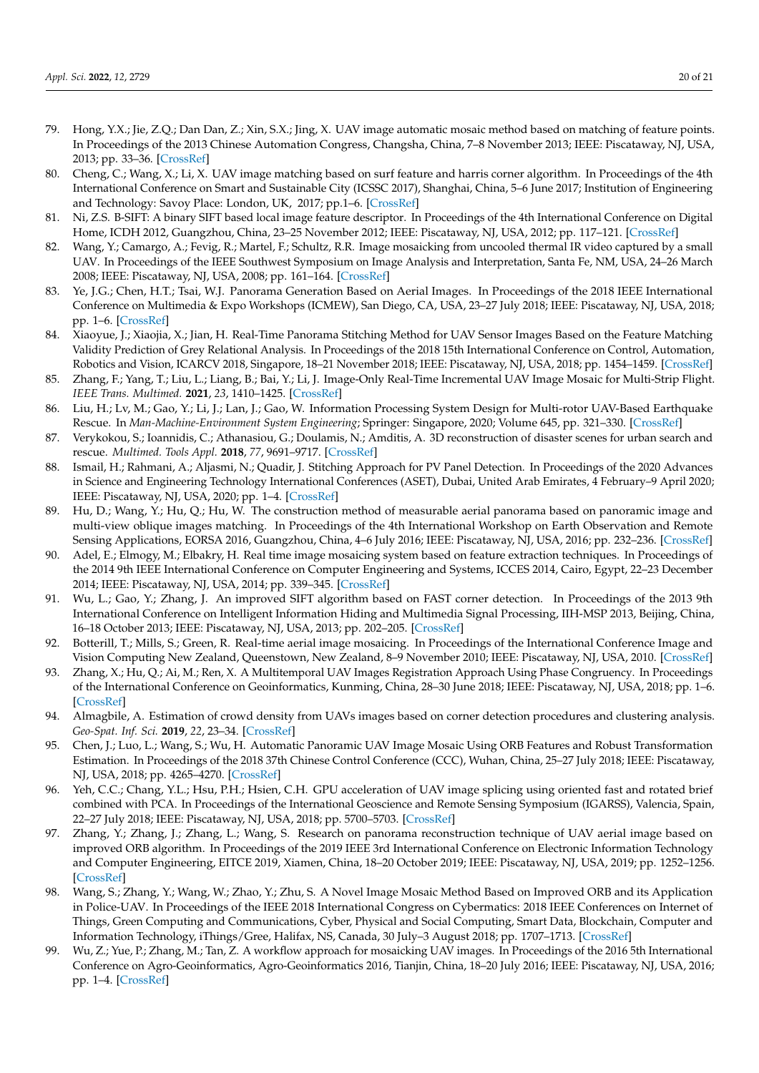- <span id="page-19-0"></span>79. Hong, Y.X.; Jie, Z.Q.; Dan Dan, Z.; Xin, S.X.; Jing, X. UAV image automatic mosaic method based on matching of feature points. In Proceedings of the 2013 Chinese Automation Congress, Changsha, China, 7–8 November 2013; IEEE: Piscataway, NJ, USA, 2013; pp. 33–36. [\[CrossRef\]](http://dx.doi.org/10.1109/CAC.2013.6775697)
- <span id="page-19-1"></span>80. Cheng, C.; Wang, X.; Li, X. UAV image matching based on surf feature and harris corner algorithm. In Proceedings of the 4th International Conference on Smart and Sustainable City (ICSSC 2017), Shanghai, China, 5–6 June 2017; Institution of Engineering and Technology: Savoy Place: London, UK, 2017; pp.1–6. [\[CrossRef\]](http://dx.doi.org/10.1049/cp.2017.0116)
- <span id="page-19-2"></span>81. Ni, Z.S. B-SIFT: A binary SIFT based local image feature descriptor. In Proceedings of the 4th International Conference on Digital Home, ICDH 2012, Guangzhou, China, 23–25 November 2012; IEEE: Piscataway, NJ, USA, 2012; pp. 117–121. [\[CrossRef\]](http://dx.doi.org/10.1109/ICDH.2012.69)
- <span id="page-19-3"></span>82. Wang, Y.; Camargo, A.; Fevig, R.; Martel, F.; Schultz, R.R. Image mosaicking from uncooled thermal IR video captured by a small UAV. In Proceedings of the IEEE Southwest Symposium on Image Analysis and Interpretation, Santa Fe, NM, USA, 24–26 March 2008; IEEE: Piscataway, NJ, USA, 2008; pp. 161–164. [\[CrossRef\]](http://dx.doi.org/10.1109/SSIAI.2008.4512310)
- <span id="page-19-4"></span>83. Ye, J.G.; Chen, H.T.; Tsai, W.J. Panorama Generation Based on Aerial Images. In Proceedings of the 2018 IEEE International Conference on Multimedia & Expo Workshops (ICMEW), San Diego, CA, USA, 23–27 July 2018; IEEE: Piscataway, NJ, USA, 2018; pp. 1–6. [\[CrossRef\]](http://dx.doi.org/10.1109/ICMEW.2018.8551548)
- <span id="page-19-5"></span>84. Xiaoyue, J.; Xiaojia, X.; Jian, H. Real-Time Panorama Stitching Method for UAV Sensor Images Based on the Feature Matching Validity Prediction of Grey Relational Analysis. In Proceedings of the 2018 15th International Conference on Control, Automation, Robotics and Vision, ICARCV 2018, Singapore, 18–21 November 2018; IEEE: Piscataway, NJ, USA, 2018; pp. 1454–1459. [\[CrossRef\]](http://dx.doi.org/10.1109/ICARCV.2018.8581385)
- <span id="page-19-6"></span>85. Zhang, F.; Yang, T.; Liu, L.; Liang, B.; Bai, Y.; Li, J. Image-Only Real-Time Incremental UAV Image Mosaic for Multi-Strip Flight. *IEEE Trans. Multimed.* **2021**, *23*, 1410–1425. [\[CrossRef\]](http://dx.doi.org/10.1109/TMM.2020.2997193)
- <span id="page-19-7"></span>86. Liu, H.; Lv, M.; Gao, Y.; Li, J.; Lan, J.; Gao, W. Information Processing System Design for Multi-rotor UAV-Based Earthquake Rescue. In *Man-Machine-Environment System Engineering*; Springer: Singapore, 2020; Volume 645, pp. 321–330. [\[CrossRef\]](http://dx.doi.org/10.1007/978-981-15-6978-4_39)
- <span id="page-19-8"></span>87. Verykokou, S.; Ioannidis, C.; Athanasiou, G.; Doulamis, N.; Amditis, A. 3D reconstruction of disaster scenes for urban search and rescue. *Multimed. Tools Appl.* **2018**, *77*, 9691–9717. [\[CrossRef\]](http://dx.doi.org/10.1007/s11042-017-5450-y)
- <span id="page-19-9"></span>88. Ismail, H.; Rahmani, A.; Aljasmi, N.; Quadir, J. Stitching Approach for PV Panel Detection. In Proceedings of the 2020 Advances in Science and Engineering Technology International Conferences (ASET), Dubai, United Arab Emirates, 4 February–9 April 2020; IEEE: Piscataway, NJ, USA, 2020; pp. 1–4. [\[CrossRef\]](http://dx.doi.org/10.1109/ASET48392.2020.9118386)
- <span id="page-19-10"></span>89. Hu, D.; Wang, Y.; Hu, Q.; Hu, W. The construction method of measurable aerial panorama based on panoramic image and multi-view oblique images matching. In Proceedings of the 4th International Workshop on Earth Observation and Remote Sensing Applications, EORSA 2016, Guangzhou, China, 4–6 July 2016; IEEE: Piscataway, NJ, USA, 2016; pp. 232–236. [\[CrossRef\]](http://dx.doi.org/10.1109/EORSA.2016.7552803)
- <span id="page-19-11"></span>90. Adel, E.; Elmogy, M.; Elbakry, H. Real time image mosaicing system based on feature extraction techniques. In Proceedings of the 2014 9th IEEE International Conference on Computer Engineering and Systems, ICCES 2014, Cairo, Egypt, 22–23 December 2014; IEEE: Piscataway, NJ, USA, 2014; pp. 339–345. [\[CrossRef\]](http://dx.doi.org/10.1109/ICCES.2014.7030983)
- <span id="page-19-12"></span>91. Wu, L.; Gao, Y.; Zhang, J. An improved SIFT algorithm based on FAST corner detection. In Proceedings of the 2013 9th International Conference on Intelligent Information Hiding and Multimedia Signal Processing, IIH-MSP 2013, Beijing, China, 16–18 October 2013; IEEE: Piscataway, NJ, USA, 2013; pp. 202–205. [\[CrossRef\]](http://dx.doi.org/10.1109/IIH-MSP.2013.59)
- <span id="page-19-13"></span>92. Botterill, T.; Mills, S.; Green, R. Real-time aerial image mosaicing. In Proceedings of the International Conference Image and Vision Computing New Zealand, Queenstown, New Zealand, 8–9 November 2010; IEEE: Piscataway, NJ, USA, 2010. [\[CrossRef\]](http://dx.doi.org/10.1109/IVCNZ.2010.6148850)
- <span id="page-19-14"></span>93. Zhang, X.; Hu, Q.; Ai, M.; Ren, X. A Multitemporal UAV Images Registration Approach Using Phase Congruency. In Proceedings of the International Conference on Geoinformatics, Kunming, China, 28–30 June 2018; IEEE: Piscataway, NJ, USA, 2018; pp. 1–6. [\[CrossRef\]](http://dx.doi.org/10.1109/GEOINFORMATICS.2018.8557189)
- <span id="page-19-15"></span>94. Almagbile, A. Estimation of crowd density from UAVs images based on corner detection procedures and clustering analysis. *Geo-Spat. Inf. Sci.* **2019**, *22*, 23–34. [\[CrossRef\]](http://dx.doi.org/10.1080/10095020.2018.1539553)
- <span id="page-19-16"></span>95. Chen, J.; Luo, L.; Wang, S.; Wu, H. Automatic Panoramic UAV Image Mosaic Using ORB Features and Robust Transformation Estimation. In Proceedings of the 2018 37th Chinese Control Conference (CCC), Wuhan, China, 25–27 July 2018; IEEE: Piscataway, NJ, USA, 2018; pp. 4265–4270. [\[CrossRef\]](http://dx.doi.org/10.23919/ChiCC.2018.8483513)
- <span id="page-19-17"></span>96. Yeh, C.C.; Chang, Y.L.; Hsu, P.H.; Hsien, C.H. GPU acceleration of UAV image splicing using oriented fast and rotated brief combined with PCA. In Proceedings of the International Geoscience and Remote Sensing Symposium (IGARSS), Valencia, Spain, 22–27 July 2018; IEEE: Piscataway, NJ, USA, 2018; pp. 5700–5703. [\[CrossRef\]](http://dx.doi.org/10.1109/IGARSS.2018.8519046)
- <span id="page-19-18"></span>97. Zhang, Y.; Zhang, J.; Zhang, L.; Wang, S. Research on panorama reconstruction technique of UAV aerial image based on improved ORB algorithm. In Proceedings of the 2019 IEEE 3rd International Conference on Electronic Information Technology and Computer Engineering, EITCE 2019, Xiamen, China, 18–20 October 2019; IEEE: Piscataway, NJ, USA, 2019; pp. 1252–1256. [\[CrossRef\]](http://dx.doi.org/10.1109/EITCE47263.2019.9095113)
- <span id="page-19-19"></span>98. Wang, S.; Zhang, Y.; Wang, W.; Zhao, Y.; Zhu, S. A Novel Image Mosaic Method Based on Improved ORB and its Application in Police-UAV. In Proceedings of the IEEE 2018 International Congress on Cybermatics: 2018 IEEE Conferences on Internet of Things, Green Computing and Communications, Cyber, Physical and Social Computing, Smart Data, Blockchain, Computer and Information Technology, iThings/Gree, Halifax, NS, Canada, 30 July–3 August 2018; pp. 1707–1713. [\[CrossRef\]](http://dx.doi.org/10.1109/Cybermatics_2018.2018.00285)
- <span id="page-19-20"></span>99. Wu, Z.; Yue, P.; Zhang, M.; Tan, Z. A workflow approach for mosaicking UAV images. In Proceedings of the 2016 5th International Conference on Agro-Geoinformatics, Agro-Geoinformatics 2016, Tianjin, China, 18–20 July 2016; IEEE: Piscataway, NJ, USA, 2016; pp. 1–4. [\[CrossRef\]](http://dx.doi.org/10.1109/Agro-Geoinformatics.2016.7577706)